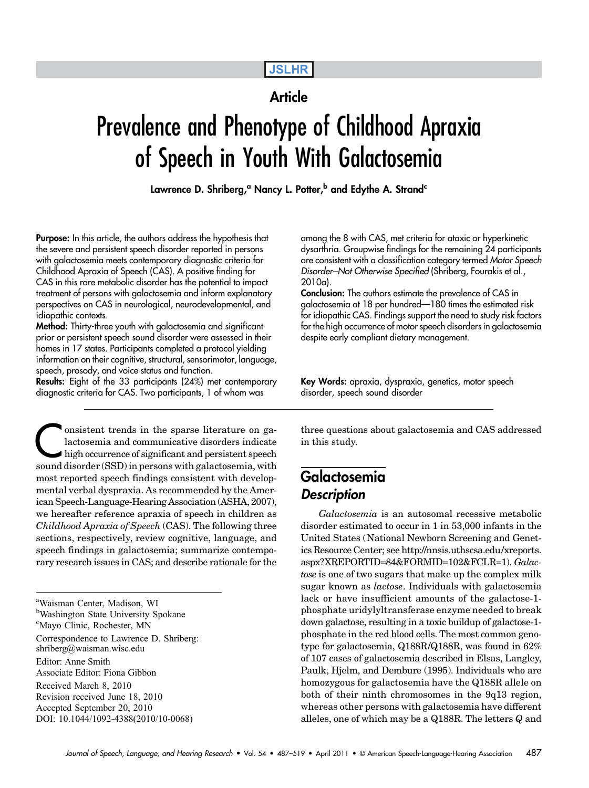# JSLHR

### **Article**

# Prevalence and Phenotype of Childhood Apraxia of Speech in Youth With Galactosemia

Lawrence D. Shriberg,<sup>a</sup> Nancy L. Potter,<sup>b</sup> and Edythe A. Strand<sup>c</sup>

Purpose: In this article, the authors address the hypothesis that the severe and persistent speech disorder reported in persons with galactosemia meets contemporary diagnostic criteria for Childhood Apraxia of Speech (CAS). A positive finding for CAS in this rare metabolic disorder has the potential to impact treatment of persons with galactosemia and inform explanatory perspectives on CAS in neurological, neurodevelopmental, and idiopathic contexts.

Method: Thirty-three youth with galactosemia and significant prior or persistent speech sound disorder were assessed in their homes in 17 states. Participants completed a protocol yielding information on their cognitive, structural, sensorimotor, language, speech, prosody, and voice status and function.

Results: Eight of the 33 participants (24%) met contemporary diagnostic criteria for CAS. Two participants, 1 of whom was

Consistent trends in the sparse literature on ga-<br>lactosemia and communicative disorders indicate<br>high occurrence of significant and persistent speech<br>sound disorder (SSD) in persons with galactosemia with lactosemia and communicative disorders indicate high occurrence of significant and persistent speech sound disorder (SSD) in persons with galactosemia, with most reported speech findings consistent with developmental verbal dyspraxia. As recommended by the American Speech-Language-Hearing Association (ASHA, 2007), we hereafter reference apraxia of speech in children as Childhood Apraxia of Speech (CAS). The following three sections, respectively, review cognitive, language, and speech findings in galactosemia; summarize contemporary research issues in CAS; and describe rationale for the

a Waisman Center, Madison, WI <sup>b</sup>Washington State University Spokane c Mayo Clinic, Rochester, MN Correspondence to Lawrence D. Shriberg: shriberg@waisman.wisc.edu Editor: Anne Smith Associate Editor: Fiona Gibbon Received March 8, 2010 Revision received June 18, 2010 Accepted September 20, 2010 DOI: 10.1044/1092-4388(2010/10-0068)

among the 8 with CAS, met criteria for ataxic or hyperkinetic dysarthria. Groupwise findings for the remaining 24 participants are consistent with a classification category termed Motor Speech Disorder*–*Not Otherwise Specified (Shriberg, Fourakis et al., 2010a).

Conclusion: The authors estimate the prevalence of CAS in galactosemia at 18 per hundred—180 times the estimated risk for idiopathic CAS. Findings support the need to study risk factors for the high occurrence of motor speech disorders in galactosemia despite early compliant dietary management.

Key Words: apraxia, dyspraxia, genetics, motor speech disorder, speech sound disorder

three questions about galactosemia and CAS addressed in this study.

# Galactosemia **Description**

Galactosemia is an autosomal recessive metabolic disorder estimated to occur in 1 in 53,000 infants in the United States (National Newborn Screening and Genetics Resource Center; see http://nnsis.uthscsa.edu/xreports. aspx?XREPORTID=84&FORMID=102&FCLR=1). Galactose is one of two sugars that make up the complex milk sugar known as lactose. Individuals with galactosemia lack or have insufficient amounts of the galactose-1 phosphate uridylyltransferase enzyme needed to break down galactose, resulting in a toxic buildup of galactose-1 phosphate in the red blood cells. The most common genotype for galactosemia, Q188R/Q188R, was found in 62% of 107 cases of galactosemia described in Elsas, Langley, Paulk, Hjelm, and Dembure (1995). Individuals who are homozygous for galactosemia have the Q188R allele on both of their ninth chromosomes in the 9q13 region, whereas other persons with galactosemia have different alleles, one of which may be a Q188R. The letters Q and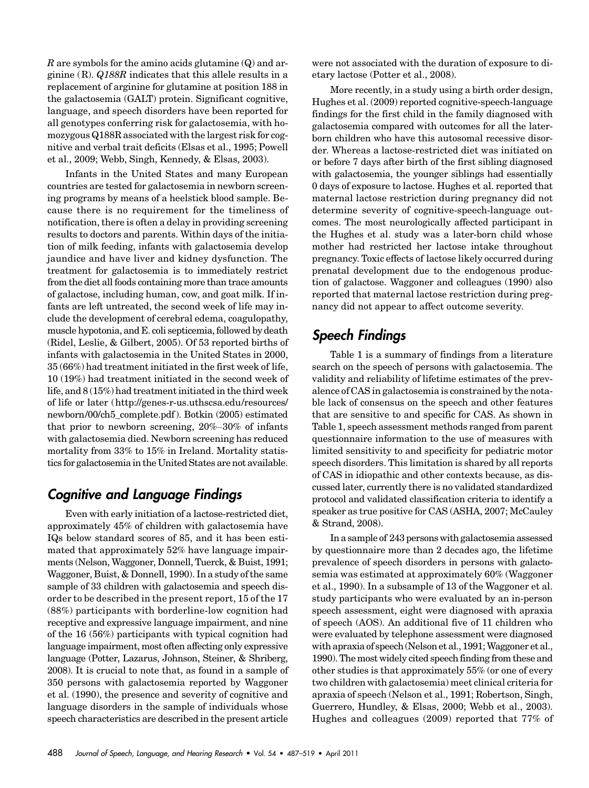R are symbols for the amino acids glutamine  $(Q)$  and arginine  $(R)$ . Q188R indicates that this allele results in a replacement of arginine for glutamine at position 188 in the galactosemia (GALT) protein. Significant cognitive, language, and speech disorders have been reported for all genotypes conferring risk for galactosemia, with homozygous Q188R associated with the largest risk for cognitive and verbal trait deficits (Elsas et al., 1995; Powell et al., 2009; Webb, Singh, Kennedy, & Elsas, 2003).

Infants in the United States and many European countries are tested for galactosemia in newborn screening programs by means of a heelstick blood sample. Because there is no requirement for the timeliness of notification, there is often a delay in providing screening results to doctors and parents. Within days of the initiation of milk feeding, infants with galactosemia develop jaundice and have liver and kidney dysfunction. The treatment for galactosemia is to immediately restrict from the diet all foods containing more than trace amounts of galactose, including human, cow, and goat milk. If infants are left untreated, the second week of life may include the development of cerebral edema, coagulopathy, muscle hypotonia, and E. coli septicemia, followed by death (Ridel, Leslie, & Gilbert, 2005). Of 53 reported births of infants with galactosemia in the United States in 2000, 35 (66%) had treatment initiated in the first week of life, 10 (19%) had treatment initiated in the second week of life, and 8 (15%) had treatment initiated in the third week of life or later (http://genes-r-us.uthscsa.edu/resources/ newborn/00/ch5\_complete.pdf ). Botkin (2005) estimated that prior to newborn screening, 20%–30% of infants with galactosemia died. Newborn screening has reduced mortality from 33% to 15% in Ireland. Mortality statistics for galactosemia in the United States are not available.

# Cognitive and Language Findings

Even with early initiation of a lactose-restricted diet, approximately 45% of children with galactosemia have IQs below standard scores of 85, and it has been estimated that approximately 52% have language impairments (Nelson, Waggoner, Donnell, Tuerck, & Buist, 1991; Waggoner, Buist, & Donnell, 1990). In a study of the same sample of 33 children with galactosemia and speech disorder to be described in the present report, 15 of the 17 (88%) participants with borderline-low cognition had receptive and expressive language impairment, and nine of the 16 (56%) participants with typical cognition had language impairment, most often affecting only expressive language (Potter, Lazarus, Johnson, Steiner, & Shriberg, 2008). It is crucial to note that, as found in a sample of 350 persons with galactosemia reported by Waggoner et al. (1990), the presence and severity of cognitive and language disorders in the sample of individuals whose speech characteristics are described in the present article

were not associated with the duration of exposure to dietary lactose (Potter et al., 2008).

More recently, in a study using a birth order design, Hughes et al. (2009) reported cognitive-speech-language findings for the first child in the family diagnosed with galactosemia compared with outcomes for all the laterborn children who have this autosomal recessive disorder. Whereas a lactose-restricted diet was initiated on or before 7 days after birth of the first sibling diagnosed with galactosemia, the younger siblings had essentially 0 days of exposure to lactose. Hughes et al. reported that maternal lactose restriction during pregnancy did not determine severity of cognitive-speech-language outcomes. The most neurologically affected participant in the Hughes et al. study was a later-born child whose mother had restricted her lactose intake throughout pregnancy. Toxic effects of lactose likely occurred during prenatal development due to the endogenous production of galactose. Waggoner and colleagues (1990) also reported that maternal lactose restriction during pregnancy did not appear to affect outcome severity.

# Speech Findings

Table 1 is a summary of findings from a literature search on the speech of persons with galactosemia. The validity and reliability of lifetime estimates of the prevalence of CAS in galactosemia is constrained by the notable lack of consensus on the speech and other features that are sensitive to and specific for CAS. As shown in Table 1, speech assessment methods ranged from parent questionnaire information to the use of measures with limited sensitivity to and specificity for pediatric motor speech disorders. This limitation is shared by all reports of CAS in idiopathic and other contexts because, as discussed later, currently there is no validated standardized protocol and validated classification criteria to identify a speaker as true positive for CAS (ASHA, 2007; McCauley & Strand, 2008).

In a sample of 243 persons with galactosemia assessed by questionnaire more than 2 decades ago, the lifetime prevalence of speech disorders in persons with galactosemia was estimated at approximately 60% (Waggoner et al., 1990). In a subsample of 13 of the Waggoner et al. study participants who were evaluated by an in-person speech assessment, eight were diagnosed with apraxia of speech (AOS). An additional five of 11 children who were evaluated by telephone assessment were diagnosed with apraxia of speech (Nelson et al., 1991; Waggoner et al., 1990). The most widely cited speech finding from these and other studies is that approximately 55% (or one of every two children with galactosemia) meet clinical criteria for apraxia of speech (Nelson et al., 1991; Robertson, Singh, Guerrero, Hundley, & Elsas, 2000; Webb et al., 2003). Hughes and colleagues (2009) reported that 77% of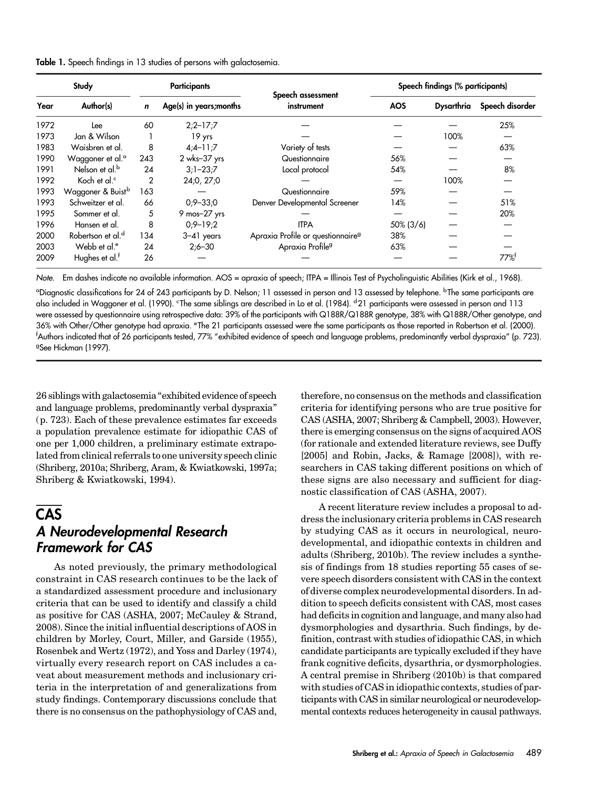|  |  |  |  | Table 1. Speech findings in 13 studies of persons with galactosemia. |
|--|--|--|--|----------------------------------------------------------------------|
|  |  |  |  |                                                                      |

|      | Study                         |             | <b>Participants</b>     | Speech assessment                             | Speech findings (% participants) |            |                 |  |  |  |
|------|-------------------------------|-------------|-------------------------|-----------------------------------------------|----------------------------------|------------|-----------------|--|--|--|
| Year | Author(s)                     | $\mathbf n$ | Age(s) in years; months | instrument                                    | <b>AOS</b>                       | Dysarthria | Speech disorder |  |  |  |
| 1972 | Lee                           | 60          | $2:2 - 17:7$            |                                               |                                  |            | 25%             |  |  |  |
| 1973 | Jan & Wilson                  |             | 19 yrs                  |                                               |                                  | 100%       |                 |  |  |  |
| 1983 | Waisbren et al.               | 8           | $4;4-11;7$              | Variety of tests                              |                                  |            | 63%             |  |  |  |
| 1990 | Waggoner et al. <sup>a</sup>  | 243         | 2 wks-37 yrs            | Questionnaire                                 | 56%                              |            |                 |  |  |  |
| 1991 | Nelson et al. <sup>b</sup>    | 24          | $3:1 - 23:7$            | Local protocol                                | 54%                              |            | 8%              |  |  |  |
| 1992 | Koch et al. <sup>c</sup>      | 2           | 24:0, 27:0              |                                               |                                  | 100%       |                 |  |  |  |
| 1993 | Waggoner & Buist <sup>b</sup> | 163         |                         | Questionnaire                                 | 59%                              |            |                 |  |  |  |
| 1993 | Schweitzer et al.             | 66          | $0:9 - 33:0$            | Denver Developmental Screener                 | 14%                              |            | 51%             |  |  |  |
| 1995 | Sommer et al.                 | 5           | 9 mos-27 yrs            |                                               |                                  |            | 20%             |  |  |  |
| 1996 | Hansen et al.                 | 8           | $0:9 - 19:2$            | <b>ITPA</b>                                   | $50\%$ (3/6)                     |            |                 |  |  |  |
| 2000 | Robertson et al. <sup>d</sup> | 134         | $3-41$ years            | Apraxia Profile or questionnaire <sup>9</sup> | 38%                              |            |                 |  |  |  |
| 2003 | Webb et al. <sup>e</sup>      | 24          | $2:6 - 30$              | Apraxia Profile <sup>9</sup>                  | 63%                              |            |                 |  |  |  |
| 2009 | Hughes et al. <sup>t</sup>    | 26          |                         |                                               |                                  |            | 77%             |  |  |  |

Note. Em dashes indicate no available information. AOS = apraxia of speech; ITPA = Illinois Test of Psycholinguistic Abilities (Kirk et al., 1968).

<sup>a</sup>Diagnostic classifications for 24 of 243 participants by D. Nelson; 11 assessed in person and 13 assessed by telephone. <sup>b</sup>The same participants are also included in Waggoner et al. (1990). <sup>c</sup>The same siblings are described in Lo et al. (1984). <sup>d</sup>21 participants were assessed in person and 113 were assessed by questionnaire using retrospective data: 39% of the participants with Q188R/Q188R genotype, 38% with Q188R/Other genotype, and 36% with Other/Other genotype had apraxia. <sup>e</sup> The 21 participants assessed were the same participants as those reported in Robertson et al. (2000). f Authors indicated that of 26 participants tested, 77% "exhibited evidence of speech and language problems, predominantly verbal dyspraxia" (p. 723). <sup>9</sup>See Hickman (1997).

26 siblings with galactosemia "exhibited evidence of speech and language problems, predominantly verbal dyspraxia" (p. 723). Each of these prevalence estimates far exceeds a population prevalence estimate for idiopathic CAS of one per 1,000 children, a preliminary estimate extrapolated from clinical referrals to one university speech clinic (Shriberg, 2010a; Shriberg, Aram, & Kwiatkowski, 1997a; Shriberg & Kwiatkowski, 1994).

# **CAS**

# A Neurodevelopmental Research Framework for CAS

As noted previously, the primary methodological constraint in CAS research continues to be the lack of a standardized assessment procedure and inclusionary criteria that can be used to identify and classify a child as positive for CAS (ASHA, 2007; McCauley & Strand, 2008). Since the initial influential descriptions of AOS in children by Morley, Court, Miller, and Garside (1955), Rosenbek and Wertz (1972), and Yoss and Darley (1974), virtually every research report on CAS includes a caveat about measurement methods and inclusionary criteria in the interpretation of and generalizations from study findings. Contemporary discussions conclude that there is no consensus on the pathophysiology of CAS and,

therefore, no consensus on the methods and classification criteria for identifying persons who are true positive for CAS (ASHA, 2007; Shriberg & Campbell, 2003). However, there is emerging consensus on the signs of acquired AOS (for rationale and extended literature reviews, see Duffy [2005] and Robin, Jacks, & Ramage [2008]), with researchers in CAS taking different positions on which of these signs are also necessary and sufficient for diagnostic classification of CAS (ASHA, 2007).

A recent literature review includes a proposal to address the inclusionary criteria problems in CAS research by studying CAS as it occurs in neurological, neurodevelopmental, and idiopathic contexts in children and adults (Shriberg, 2010b). The review includes a synthesis of findings from 18 studies reporting 55 cases of severe speech disorders consistent with CAS in the context of diverse complex neurodevelopmental disorders. In addition to speech deficits consistent with CAS, most cases had deficits in cognition and language, and many also had dysmorphologies and dysarthria. Such findings, by definition, contrast with studies of idiopathic CAS, in which candidate participants are typically excluded if they have frank cognitive deficits, dysarthria, or dysmorphologies. A central premise in Shriberg (2010b) is that compared with studies of CAS in idiopathic contexts, studies of participants with CAS in similar neurological or neurodevelopmental contexts reduces heterogeneity in causal pathways.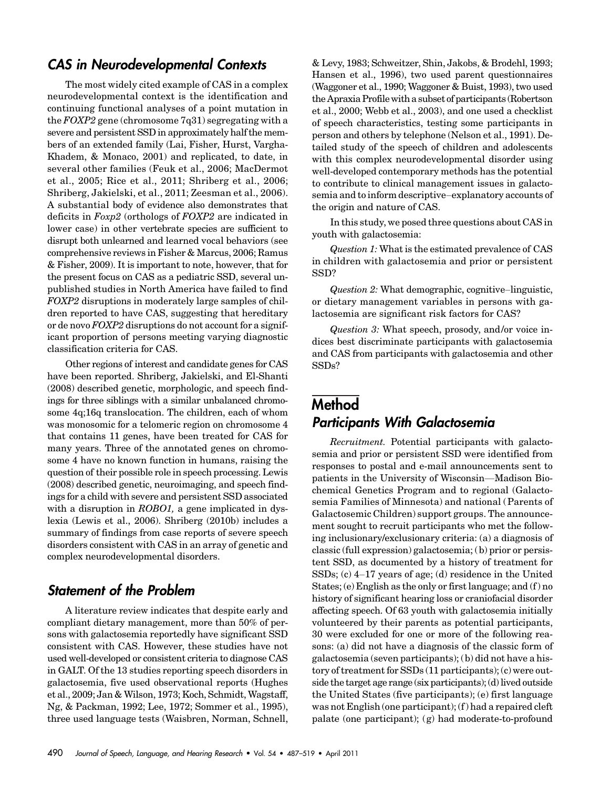### CAS in Neurodevelopmental Contexts

The most widely cited example of CAS in a complex neurodevelopmental context is the identification and continuing functional analyses of a point mutation in the  $FOXP2$  gene (chromosome  $7q31$ ) segregating with a severe and persistent SSD in approximately half the members of an extended family (Lai, Fisher, Hurst, Vargha-Khadem, & Monaco, 2001) and replicated, to date, in several other families (Feuk et al., 2006; MacDermot et al., 2005; Rice et al., 2011; Shriberg et al., 2006; Shriberg, Jakielski, et al., 2011; Zeesman et al., 2006). A substantial body of evidence also demonstrates that deficits in Foxp2 (orthologs of FOXP2 are indicated in lower case) in other vertebrate species are sufficient to disrupt both unlearned and learned vocal behaviors (see comprehensive reviews in Fisher & Marcus, 2006; Ramus & Fisher, 2009). It is important to note, however, that for the present focus on CAS as a pediatric SSD, several unpublished studies in North America have failed to find FOXP2 disruptions in moderately large samples of children reported to have CAS, suggesting that hereditary or de novo FOXP2 disruptions do not account for a significant proportion of persons meeting varying diagnostic classification criteria for CAS.

Other regions of interest and candidate genes for CAS have been reported. Shriberg, Jakielski, and El-Shanti (2008) described genetic, morphologic, and speech findings for three siblings with a similar unbalanced chromosome 4q;16q translocation. The children, each of whom was monosomic for a telomeric region on chromosome 4 that contains 11 genes, have been treated for CAS for many years. Three of the annotated genes on chromosome 4 have no known function in humans, raising the question of their possible role in speech processing. Lewis (2008) described genetic, neuroimaging, and speech findings for a child with severe and persistent SSD associated with a disruption in *ROBO1*, a gene implicated in dyslexia (Lewis et al., 2006). Shriberg (2010b) includes a summary of findings from case reports of severe speech disorders consistent with CAS in an array of genetic and complex neurodevelopmental disorders.

### Statement of the Problem

A literature review indicates that despite early and compliant dietary management, more than 50% of persons with galactosemia reportedly have significant SSD consistent with CAS. However, these studies have not used well-developed or consistent criteria to diagnose CAS in GALT. Of the 13 studies reporting speech disorders in galactosemia, five used observational reports (Hughes et al., 2009; Jan & Wilson, 1973; Koch, Schmidt, Wagstaff, Ng, & Packman, 1992; Lee, 1972; Sommer et al., 1995), three used language tests (Waisbren, Norman, Schnell, & Levy, 1983; Schweitzer, Shin, Jakobs, & Brodehl, 1993; Hansen et al., 1996), two used parent questionnaires (Waggoner et al., 1990; Waggoner & Buist, 1993), two used the Apraxia Profile with a subset of participants (Robertson et al., 2000; Webb et al., 2003), and one used a checklist of speech characteristics, testing some participants in person and others by telephone (Nelson et al., 1991). Detailed study of the speech of children and adolescents with this complex neurodevelopmental disorder using well-developed contemporary methods has the potential to contribute to clinical management issues in galactosemia and to inform descriptive–explanatory accounts of the origin and nature of CAS.

In this study, we posed three questions about CAS in youth with galactosemia:

Question 1: What is the estimated prevalence of CAS in children with galactosemia and prior or persistent SSD?

Question 2: What demographic, cognitive–linguistic, or dietary management variables in persons with galactosemia are significant risk factors for CAS?

Question 3: What speech, prosody, and/or voice indices best discriminate participants with galactosemia and CAS from participants with galactosemia and other SSDs?

# **Method** Participants With Galactosemia

Recruitment. Potential participants with galactosemia and prior or persistent SSD were identified from responses to postal and e-mail announcements sent to patients in the University of Wisconsin—Madison Biochemical Genetics Program and to regional (Galactosemia Families of Minnesota) and national (Parents of Galactosemic Children) support groups. The announcement sought to recruit participants who met the following inclusionary/exclusionary criteria: (a) a diagnosis of classic (full expression) galactosemia; (b) prior or persistent SSD, as documented by a history of treatment for SSDs; (c) 4–17 years of age; (d) residence in the United States; (e) English as the only or first language; and (f ) no history of significant hearing loss or craniofacial disorder affecting speech. Of 63 youth with galactosemia initially volunteered by their parents as potential participants, 30 were excluded for one or more of the following reasons: (a) did not have a diagnosis of the classic form of galactosemia (seven participants); (b) did not have a history of treatment for SSDs (11 participants); (c) were outside the target age range (six participants); (d) lived outside the United States (five participants); (e) first language was not English (one participant); (f ) had a repaired cleft palate (one participant); (g) had moderate-to-profound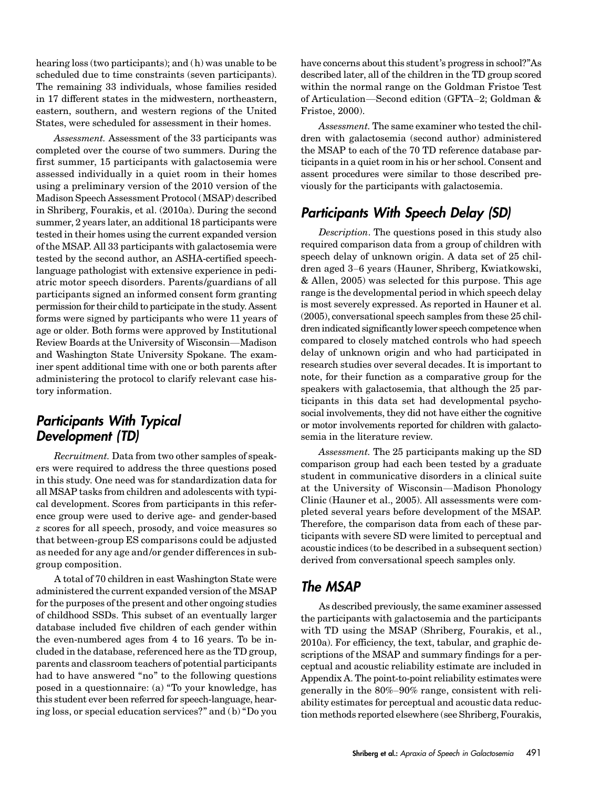hearing loss (two participants); and (h) was unable to be scheduled due to time constraints (seven participants). The remaining 33 individuals, whose families resided in 17 different states in the midwestern, northeastern, eastern, southern, and western regions of the United States, were scheduled for assessment in their homes.

Assessment. Assessment of the 33 participants was completed over the course of two summers. During the first summer, 15 participants with galactosemia were assessed individually in a quiet room in their homes using a preliminary version of the 2010 version of the Madison Speech Assessment Protocol (MSAP) described in Shriberg, Fourakis, et al. (2010a). During the second summer, 2 years later, an additional 18 participants were tested in their homes using the current expanded version of the MSAP. All 33 participants with galactosemia were tested by the second author, an ASHA-certified speechlanguage pathologist with extensive experience in pediatric motor speech disorders. Parents/guardians of all participants signed an informed consent form granting permission for their child to participate in the study. Assent forms were signed by participants who were 11 years of age or older. Both forms were approved by Institutional Review Boards at the University of Wisconsin—Madison and Washington State University Spokane. The examiner spent additional time with one or both parents after administering the protocol to clarify relevant case history information.

# Participants With Typical Development (TD)

Recruitment. Data from two other samples of speakers were required to address the three questions posed in this study. One need was for standardization data for all MSAP tasks from children and adolescents with typical development. Scores from participants in this reference group were used to derive age- and gender-based z scores for all speech, prosody, and voice measures so that between-group ES comparisons could be adjusted as needed for any age and/or gender differences in subgroup composition.

A total of 70 children in east Washington State were administered the current expanded version of the MSAP for the purposes of the present and other ongoing studies of childhood SSDs. This subset of an eventually larger database included five children of each gender within the even-numbered ages from 4 to 16 years. To be included in the database, referenced here as the TD group, parents and classroom teachers of potential participants had to have answered "no" to the following questions posed in a questionnaire: (a) "To your knowledge, has this student ever been referred for speech-language, hearing loss, or special education services?" and (b) "Do you have concerns about this student's progress in school?"As described later, all of the children in the TD group scored within the normal range on the Goldman Fristoe Test of Articulation—Second edition (GFTA–2; Goldman & Fristoe, 2000).

Assessment. The same examiner who tested the children with galactosemia (second author) administered the MSAP to each of the 70 TD reference database participants in a quiet room in his or her school. Consent and assent procedures were similar to those described previously for the participants with galactosemia.

# Participants With Speech Delay (SD)

Description. The questions posed in this study also required comparison data from a group of children with speech delay of unknown origin. A data set of 25 children aged 3–6 years (Hauner, Shriberg, Kwiatkowski, & Allen, 2005) was selected for this purpose. This age range is the developmental period in which speech delay is most severely expressed. As reported in Hauner et al. (2005), conversational speech samples from these 25 children indicated significantly lower speech competence when compared to closely matched controls who had speech delay of unknown origin and who had participated in research studies over several decades. It is important to note, for their function as a comparative group for the speakers with galactosemia, that although the 25 participants in this data set had developmental psychosocial involvements, they did not have either the cognitive or motor involvements reported for children with galactosemia in the literature review.

Assessment. The 25 participants making up the SD comparison group had each been tested by a graduate student in communicative disorders in a clinical suite at the University of Wisconsin—Madison Phonology Clinic (Hauner et al., 2005). All assessments were completed several years before development of the MSAP. Therefore, the comparison data from each of these participants with severe SD were limited to perceptual and acoustic indices (to be described in a subsequent section) derived from conversational speech samples only.

# The MSAP

As described previously, the same examiner assessed the participants with galactosemia and the participants with TD using the MSAP (Shriberg, Fourakis, et al., 2010a). For efficiency, the text, tabular, and graphic descriptions of the MSAP and summary findings for a perceptual and acoustic reliability estimate are included in Appendix A. The point-to-point reliability estimates were generally in the 80%–90% range, consistent with reliability estimates for perceptual and acoustic data reduction methods reported elsewhere (see Shriberg, Fourakis,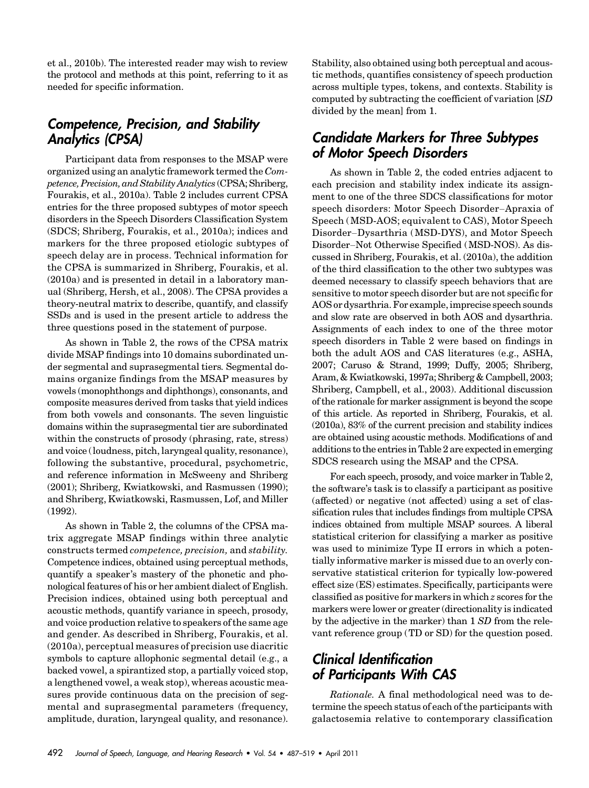et al., 2010b). The interested reader may wish to review the protocol and methods at this point, referring to it as needed for specific information.

# Competence, Precision, and Stability Analytics (CPSA)

Participant data from responses to the MSAP were organized using an analytic framework termed the Competence, Precision, and Stability Analytics (CPSA; Shriberg, Fourakis, et al., 2010a). Table 2 includes current CPSA entries for the three proposed subtypes of motor speech disorders in the Speech Disorders Classification System (SDCS; Shriberg, Fourakis, et al., 2010a); indices and markers for the three proposed etiologic subtypes of speech delay are in process. Technical information for the CPSA is summarized in Shriberg, Fourakis, et al. (2010a) and is presented in detail in a laboratory manual (Shriberg, Hersh, et al., 2008). The CPSA provides a theory-neutral matrix to describe, quantify, and classify SSDs and is used in the present article to address the three questions posed in the statement of purpose.

As shown in Table 2, the rows of the CPSA matrix divide MSAP findings into 10 domains subordinated under segmental and suprasegmental tiers. Segmental domains organize findings from the MSAP measures by vowels (monophthongs and diphthongs), consonants, and composite measures derived from tasks that yield indices from both vowels and consonants. The seven linguistic domains within the suprasegmental tier are subordinated within the constructs of prosody (phrasing, rate, stress) and voice ( loudness, pitch, laryngeal quality, resonance), following the substantive, procedural, psychometric, and reference information in McSweeny and Shriberg (2001); Shriberg, Kwiatkowski, and Rasmussen (1990); and Shriberg, Kwiatkowski, Rasmussen, Lof, and Miller (1992).

As shown in Table 2, the columns of the CPSA matrix aggregate MSAP findings within three analytic constructs termed competence, precision, and stability. Competence indices, obtained using perceptual methods, quantify a speaker's mastery of the phonetic and phonological features of his or her ambient dialect of English. Precision indices, obtained using both perceptual and acoustic methods, quantify variance in speech, prosody, and voice production relative to speakers of the same age and gender. As described in Shriberg, Fourakis, et al. (2010a), perceptual measures of precision use diacritic symbols to capture allophonic segmental detail (e.g., a backed vowel, a spirantized stop, a partially voiced stop, a lengthened vowel, a weak stop), whereas acoustic measures provide continuous data on the precision of segmental and suprasegmental parameters (frequency, amplitude, duration, laryngeal quality, and resonance). Stability, also obtained using both perceptual and acoustic methods, quantifies consistency of speech production across multiple types, tokens, and contexts. Stability is computed by subtracting the coefficient of variation [SD divided by the mean] from 1.

### Candidate Markers for Three Subtypes of Motor Speech Disorders

As shown in Table 2, the coded entries adjacent to each precision and stability index indicate its assignment to one of the three SDCS classifications for motor speech disorders: Motor Speech Disorder–Apraxia of Speech (MSD-AOS; equivalent to CAS), Motor Speech Disorder–Dysarthria (MSD-DYS), and Motor Speech Disorder–Not Otherwise Specified (MSD-NOS). As discussed in Shriberg, Fourakis, et al. (2010a), the addition of the third classification to the other two subtypes was deemed necessary to classify speech behaviors that are sensitive to motor speech disorder but are not specific for AOS or dysarthria. For example, imprecise speech sounds and slow rate are observed in both AOS and dysarthria. Assignments of each index to one of the three motor speech disorders in Table 2 were based on findings in both the adult AOS and CAS literatures (e.g., ASHA, 2007; Caruso & Strand, 1999; Duffy, 2005; Shriberg, Aram, & Kwiatkowski, 1997a; Shriberg & Campbell, 2003; Shriberg, Campbell, et al., 2003). Additional discussion of the rationale for marker assignment is beyond the scope of this article. As reported in Shriberg, Fourakis, et al. (2010a), 83% of the current precision and stability indices are obtained using acoustic methods. Modifications of and additions to the entries in Table 2 are expected in emerging SDCS research using the MSAP and the CPSA.

For each speech, prosody, and voice marker in Table 2, the software's task is to classify a participant as positive (affected) or negative (not affected) using a set of classification rules that includes findings from multiple CPSA indices obtained from multiple MSAP sources. A liberal statistical criterion for classifying a marker as positive was used to minimize Type II errors in which a potentially informative marker is missed due to an overly conservative statistical criterion for typically low-powered effect size (ES) estimates. Specifically, participants were classified as positive for markers in which z scores for the markers were lower or greater (directionality is indicated by the adjective in the marker) than 1 SD from the relevant reference group (TD or SD) for the question posed.

# Clinical Identification of Participants With CAS

Rationale. A final methodological need was to determine the speech status of each of the participants with galactosemia relative to contemporary classification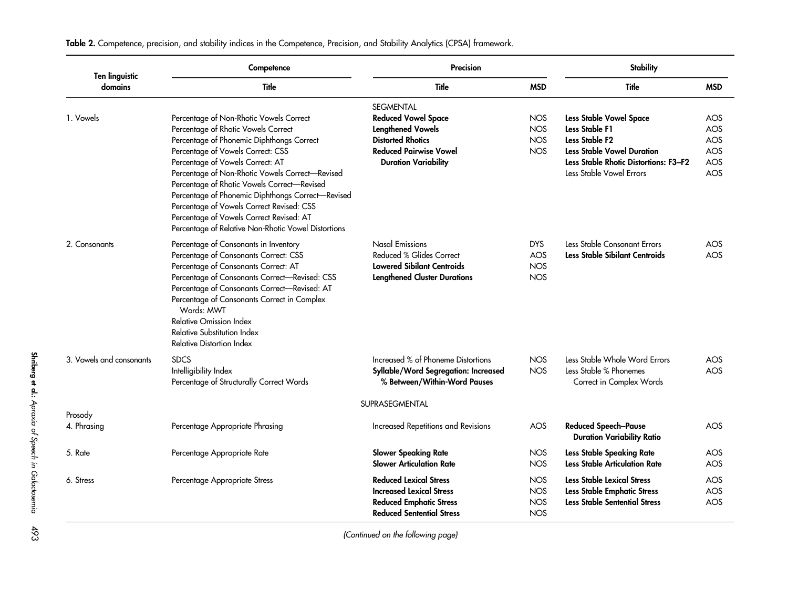| <b>Ten linguistic</b>    | Competence                                                                                                                                                                                                                                                                                                                                                                                                                                                                                                  | <b>Precision</b>                                                                                                                                                       |                                                      | <b>Stability</b>                                                                                                                                                                  |                                        |  |  |
|--------------------------|-------------------------------------------------------------------------------------------------------------------------------------------------------------------------------------------------------------------------------------------------------------------------------------------------------------------------------------------------------------------------------------------------------------------------------------------------------------------------------------------------------------|------------------------------------------------------------------------------------------------------------------------------------------------------------------------|------------------------------------------------------|-----------------------------------------------------------------------------------------------------------------------------------------------------------------------------------|----------------------------------------|--|--|
| domains                  | Title                                                                                                                                                                                                                                                                                                                                                                                                                                                                                                       | Title                                                                                                                                                                  | <b>MSD</b>                                           | Title                                                                                                                                                                             | <b>MSD</b>                             |  |  |
| 1. Vowels                | Percentage of Non-Rhotic Vowels Correct<br>Percentage of Rhotic Vowels Correct<br>Percentage of Phonemic Diphthongs Correct<br>Percentage of Vowels Correct: CSS<br>Percentage of Vowels Correct: AT<br>Percentage of Non-Rhotic Vowels Correct-Revised<br>Percentage of Rhotic Vowels Correct-Revised<br>Percentage of Phonemic Diphthongs Correct-Revised<br>Percentage of Vowels Correct Revised: CSS<br>Percentage of Vowels Correct Revised: AT<br>Percentage of Relative Non-Rhotic Vowel Distortions | <b>SEGMENTAL</b><br><b>Reduced Vowel Space</b><br><b>Lengthened Vowels</b><br><b>Distorted Rhotics</b><br><b>Reduced Pairwise Vowel</b><br><b>Duration Variability</b> | <b>NOS</b><br><b>NOS</b><br><b>NOS</b><br><b>NOS</b> | Less Stable Vowel Space<br>Less Stable F1<br>Less Stable F <sub>2</sub><br><b>Less Stable Vowel Duration</b><br>Less Stable Rhotic Distortions: F3-F2<br>Less Stable Vowel Errors | AOS<br>AOS<br>AOS<br>AOS<br>AOS<br>AOS |  |  |
| 2. Consonants            | Percentage of Consonants in Inventory<br>Percentage of Consonants Correct: CSS<br>Percentage of Consonants Correct: AT<br>Percentage of Consonants Correct-Revised: CSS<br>Percentage of Consonants Correct-Revised: AT<br>Percentage of Consonants Correct in Complex<br>Words: MWT<br><b>Relative Omission Index</b><br>Relative Substitution Index<br>Relative Distortion Index                                                                                                                          | <b>Nasal Emissions</b><br>Reduced % Glides Correct<br><b>Lowered Sibilant Centroids</b><br><b>Lengthened Cluster Durations</b>                                         | <b>DYS</b><br><b>AOS</b><br><b>NOS</b><br><b>NOS</b> | Less Stable Consonant Errors<br>Less Stable Sibilant Centroids                                                                                                                    | AOS<br>AOS                             |  |  |
| 3. Vowels and consonants | <b>SDCS</b><br>Intelligibility Index<br>Percentage of Structurally Correct Words                                                                                                                                                                                                                                                                                                                                                                                                                            | Increased % of Phoneme Distortions<br>Syllable/Word Segregation: Increased<br>% Between/Within-Word Pauses                                                             | <b>NOS</b><br><b>NOS</b>                             | Less Stable Whole Word Errors<br>Less Stable % Phonemes<br>Correct in Complex Words                                                                                               | AOS<br><b>AOS</b>                      |  |  |
|                          |                                                                                                                                                                                                                                                                                                                                                                                                                                                                                                             | SUPRASEGMENTAL                                                                                                                                                         |                                                      |                                                                                                                                                                                   |                                        |  |  |
| Prosody<br>4. Phrasing   | Percentage Appropriate Phrasing                                                                                                                                                                                                                                                                                                                                                                                                                                                                             | Increased Repetitions and Revisions                                                                                                                                    | AOS                                                  | <b>Reduced Speech-Pause</b><br><b>Duration Variability Ratio</b>                                                                                                                  | AOS                                    |  |  |
| 5. Rate                  | Percentage Appropriate Rate                                                                                                                                                                                                                                                                                                                                                                                                                                                                                 | <b>Slower Speaking Rate</b><br><b>Slower Articulation Rate</b>                                                                                                         | <b>NOS</b><br><b>NOS</b>                             | Less Stable Speaking Rate<br><b>Less Stable Articulation Rate</b>                                                                                                                 | AOS<br>AOS                             |  |  |
| 6. Stress                | Percentage Appropriate Stress                                                                                                                                                                                                                                                                                                                                                                                                                                                                               | <b>Reduced Lexical Stress</b><br><b>Increased Lexical Stress</b><br><b>Reduced Emphatic Stress</b><br><b>Reduced Sentential Stress</b>                                 | <b>NOS</b><br><b>NOS</b><br><b>NOS</b><br><b>NOS</b> | Less Stable Lexical Stress<br>Less Stable Emphatic Stress<br><b>Less Stable Sentential Stress</b>                                                                                 | AOS<br>AOS<br><b>AOS</b>               |  |  |

Table 2. Competence, precision, and stability indices in the Competence, Precision, and Stability Analytics (CPSA) framework.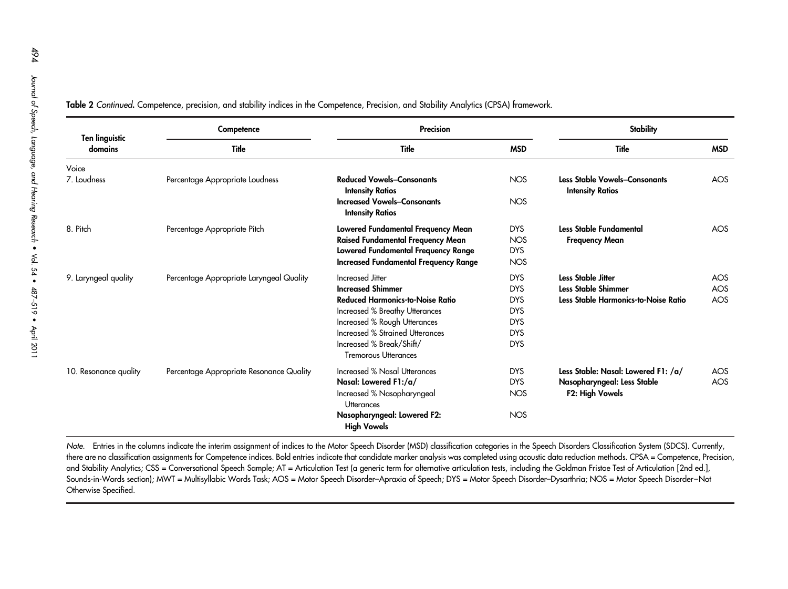| <b>Ten linguistic</b> | Competence                               | <b>Precision</b>                                              |            | <b>Stability</b>                                                |            |  |
|-----------------------|------------------------------------------|---------------------------------------------------------------|------------|-----------------------------------------------------------------|------------|--|
| domains               | Title                                    | <b>Title</b>                                                  | <b>MSD</b> | Title                                                           | <b>MSD</b> |  |
| Voice                 |                                          |                                                               |            |                                                                 |            |  |
| 7. Loudness           | Percentage Appropriate Loudness          | <b>Reduced Vowels-Consonants</b><br><b>Intensity Ratios</b>   | <b>NOS</b> | <b>Less Stable Vowels-Consonants</b><br><b>Intensity Ratios</b> | AOS        |  |
|                       |                                          | <b>Increased Vowels-Consonants</b><br><b>Intensity Ratios</b> | <b>NOS</b> |                                                                 |            |  |
| 8. Pitch              | Percentage Appropriate Pitch             | Lowered Fundamental Frequency Mean                            | <b>DYS</b> | Less Stable Fundamental                                         | AOS        |  |
|                       |                                          | Raised Fundamental Frequency Mean                             | <b>NOS</b> | <b>Frequency Mean</b>                                           |            |  |
|                       |                                          | Lowered Fundamental Frequency Range                           | <b>DYS</b> |                                                                 |            |  |
|                       |                                          | <b>Increased Fundamental Frequency Range</b>                  | <b>NOS</b> |                                                                 |            |  |
| 9. Laryngeal quality  | Percentage Appropriate Laryngeal Quality | Increased Jitter                                              | <b>DYS</b> | <b>Less Stable Jitter</b>                                       | <b>AOS</b> |  |
|                       |                                          | <b>Increased Shimmer</b>                                      | <b>DYS</b> | <b>Less Stable Shimmer</b>                                      | AOS        |  |
|                       |                                          | <b>Reduced Harmonics-to-Noise Ratio</b>                       | <b>DYS</b> | Less Stable Harmonics-to-Noise Ratio                            | AOS        |  |
|                       |                                          | Increased % Breathy Utterances                                | <b>DYS</b> |                                                                 |            |  |
|                       |                                          | Increased % Rough Utterances                                  | <b>DYS</b> |                                                                 |            |  |
|                       |                                          | Increased % Strained Utterances                               | <b>DYS</b> |                                                                 |            |  |
|                       |                                          | Increased % Break/Shift/<br><b>Tremorous Utterances</b>       | <b>DYS</b> |                                                                 |            |  |
| 10. Resonance quality | Percentage Appropriate Resonance Quality | Increased % Nasal Utterances                                  | <b>DYS</b> | Less Stable: Nasal: Lowered F1: /a/                             | <b>AOS</b> |  |
|                       |                                          | Nasal: Lowered F1:/a/                                         | <b>DYS</b> | Nasopharyngeal: Less Stable                                     | AOS        |  |
|                       |                                          | Increased % Nasopharyngeal<br><b>Utterances</b>               | <b>NOS</b> | F2: High Vowels                                                 |            |  |
|                       |                                          | Nasopharyngeal: Lowered F2:<br><b>High Vowels</b>             | <b>NOS</b> |                                                                 |            |  |

**Table 2** Continued. Competence, precision, and stability indices in the Competence, Precision, and Stability Analytics (CPSA) framework.

Note. Entries in the columns indicate the interim assignment of indices to the Motor Speech Disorder (MSD) classification categories in the Speech Disorders Classification System (SDCS). Currently, there are no classification assignments for Competence indices. Bold entries indicate that candidate marker analysis was completed using acoustic data reduction methods. CPSA = Competence, Precision, and Stability Analytics; CSS = Conversational Speech Sample; AT = Articulation Test (a generic term for alternative articulation tests, including the Goldman Fristoe Test of Articulation [2nd ed.], Sounds-in-Words section); MWT = Multisyllabic Words Task; AOS = Motor Speech Disorder-Apraxia of Speech; DYS = Motor Speech Disorder-Dysarthria; NOS = Motor Speech Disorder-Not Otherwise Specified.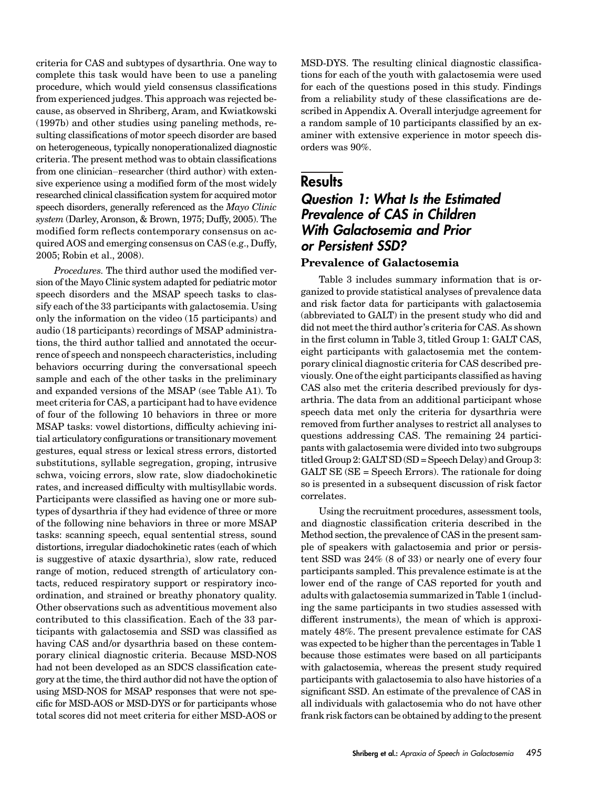criteria for CAS and subtypes of dysarthria. One way to complete this task would have been to use a paneling procedure, which would yield consensus classifications from experienced judges. This approach was rejected because, as observed in Shriberg, Aram, and Kwiatkowski (1997b) and other studies using paneling methods, resulting classifications of motor speech disorder are based on heterogeneous, typically nonoperationalized diagnostic criteria. The present method was to obtain classifications from one clinician–researcher (third author) with extensive experience using a modified form of the most widely researched clinical classification system for acquired motor speech disorders, generally referenced as the Mayo Clinic system (Darley, Aronson, & Brown, 1975; Duffy, 2005). The modified form reflects contemporary consensus on acquired AOS and emerging consensus on CAS (e.g., Duffy, 2005; Robin et al., 2008).

Procedures. The third author used the modified version of the Mayo Clinic system adapted for pediatric motor speech disorders and the MSAP speech tasks to classify each of the 33 participants with galactosemia. Using only the information on the video (15 participants) and audio (18 participants) recordings of MSAP administrations, the third author tallied and annotated the occurrence of speech and nonspeech characteristics, including behaviors occurring during the conversational speech sample and each of the other tasks in the preliminary and expanded versions of the MSAP (see Table A1). To meet criteria for CAS, a participant had to have evidence of four of the following 10 behaviors in three or more MSAP tasks: vowel distortions, difficulty achieving initial articulatory configurations or transitionary movement gestures, equal stress or lexical stress errors, distorted substitutions, syllable segregation, groping, intrusive schwa, voicing errors, slow rate, slow diadochokinetic rates, and increased difficulty with multisyllabic words. Participants were classified as having one or more subtypes of dysarthria if they had evidence of three or more of the following nine behaviors in three or more MSAP tasks: scanning speech, equal sentential stress, sound distortions, irregular diadochokinetic rates (each of which is suggestive of ataxic dysarthria), slow rate, reduced range of motion, reduced strength of articulatory contacts, reduced respiratory support or respiratory incoordination, and strained or breathy phonatory quality. Other observations such as adventitious movement also contributed to this classification. Each of the 33 participants with galactosemia and SSD was classified as having CAS and/or dysarthria based on these contemporary clinical diagnostic criteria. Because MSD-NOS had not been developed as an SDCS classification category at the time, the third author did not have the option of using MSD-NOS for MSAP responses that were not specific for MSD-AOS or MSD-DYS or for participants whose total scores did not meet criteria for either MSD-AOS or

MSD-DYS. The resulting clinical diagnostic classifications for each of the youth with galactosemia were used for each of the questions posed in this study. Findings from a reliability study of these classifications are described in Appendix A. Overall interjudge agreement for a random sample of 10 participants classified by an examiner with extensive experience in motor speech disorders was 90%.

#### **Results**

### Question 1: What Is the Estimated Prevalence of CAS in Children With Galactosemia and Prior or Persistent SSD? Prevalence of Galactosemia

#### Table 3 includes summary information that is organized to provide statistical analyses of prevalence data and risk factor data for participants with galactosemia (abbreviated to GALT) in the present study who did and did not meet the third author's criteria for CAS. As shown in the first column in Table 3, titled Group 1: GALT CAS, eight participants with galactosemia met the contemporary clinical diagnostic criteria for CAS described previously. One of the eight participants classified as having CAS also met the criteria described previously for dysarthria. The data from an additional participant whose speech data met only the criteria for dysarthria were removed from further analyses to restrict all analyses to questions addressing CAS. The remaining 24 participants with galactosemia were divided into two subgroups titled Group 2: GALT SD (SD = Speech Delay) and Group 3: GALT SE (SE = Speech Errors). The rationale for doing so is presented in a subsequent discussion of risk factor correlates.

Using the recruitment procedures, assessment tools, and diagnostic classification criteria described in the Method section, the prevalence of CAS in the present sample of speakers with galactosemia and prior or persistent SSD was 24% (8 of 33) or nearly one of every four participants sampled. This prevalence estimate is at the lower end of the range of CAS reported for youth and adults with galactosemia summarized in Table 1 (including the same participants in two studies assessed with different instruments), the mean of which is approximately 48%. The present prevalence estimate for CAS was expected to be higher than the percentages in Table 1 because those estimates were based on all participants with galactosemia, whereas the present study required participants with galactosemia to also have histories of a significant SSD. An estimate of the prevalence of CAS in all individuals with galactosemia who do not have other frank risk factors can be obtained by adding to the present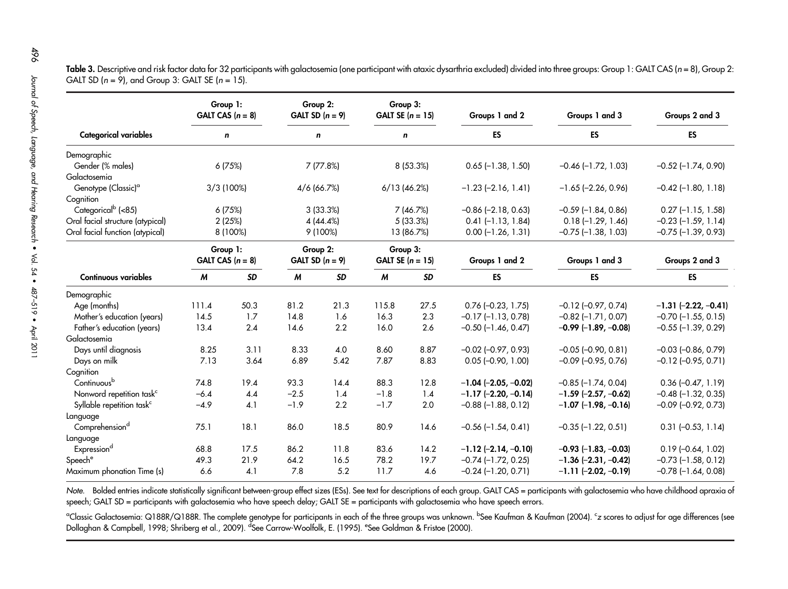|                                                                                                       | Group 1:<br>GALT CAS $(n = 8)$                                                                            |           | Group 2:<br>GALT SD $(n = 9)$ |                                                                         | Group 3:<br>GALT SE $(n = 15)$                                              |                                                                                   | Groups 1 and 2            | Groups 1 and 3            | Groups 2 and 3               |
|-------------------------------------------------------------------------------------------------------|-----------------------------------------------------------------------------------------------------------|-----------|-------------------------------|-------------------------------------------------------------------------|-----------------------------------------------------------------------------|-----------------------------------------------------------------------------------|---------------------------|---------------------------|------------------------------|
| <b>Categorical variables</b>                                                                          | n                                                                                                         |           | n                             |                                                                         | n                                                                           |                                                                                   | <b>ES</b>                 | <b>ES</b>                 | ES                           |
| Demographic<br>Gender (% males)<br>Galactosemia                                                       |                                                                                                           | 6 (75%)   |                               | 7 (77.8%)                                                               | 8 (53.3%)                                                                   |                                                                                   | $0.65$ (-1.38, 1.50)      | $-0.46$ $(-1.72, 1.03)$   | $-0.52$ ( $-1.74$ , 0.90)    |
| Genotype (Classic) <sup>a</sup><br>Cognition                                                          | 3/3(100%)                                                                                                 |           | 4/6 (66.7%)                   |                                                                         | $6/13$ (46.2%)                                                              |                                                                                   | $-1.23$ $(-2.16, 1.41)$   | $-1.65$ ( $-2.26$ , 0.96) | $-0.42$ ( $-1.80$ , $1.18$ ) |
| Categorical <sup>b</sup> (<85)<br>Oral facial structure (atypical)<br>Oral facial function (atypical) | 6 (75%)<br>3 (33.3%)<br>7 (46.7%)<br>5(33.3%)<br>2(25%)<br>4(44.4%)<br>9 (100%)<br>8 (100%)<br>13 (86.7%) |           |                               | $-0.86$ $(-2.18, 0.63)$<br>$0.41$ (-1.13, 1.84)<br>$0.00$ (-1.26, 1.31) | $-0.59$ ( $-1.84$ , 0.86)<br>$0.18(-1.29, 1.46)$<br>$-0.75$ $(-1.38, 1.03)$ | $0.27$ (-1.15, 1.58)<br>$-0.23$ ( $-1.59$ , $1.14$ )<br>$-0.75$ ( $-1.39$ , 0.93) |                           |                           |                              |
|                                                                                                       | Group 1:<br>GALT CAS $(n = 8)$                                                                            |           | Group 2:<br>GALT SD $(n = 9)$ |                                                                         | Group 3:<br>GALT SE $(n = 15)$                                              |                                                                                   | Groups 1 and 2            | Groups 1 and 3            | Groups 2 and 3               |
| <b>Continuous variables</b>                                                                           | M                                                                                                         | <b>SD</b> | M                             | <b>SD</b>                                                               | M                                                                           | <b>SD</b>                                                                         | <b>ES</b>                 | ES                        | ES                           |
| Demographic                                                                                           |                                                                                                           |           |                               |                                                                         |                                                                             |                                                                                   |                           |                           |                              |
| Age (months)                                                                                          | 111.4                                                                                                     | 50.3      | 81.2                          | 21.3                                                                    | 115.8                                                                       | 27.5                                                                              | $0.76$ (-0.23, 1.75)      | $-0.12$ $(-0.97, 0.74)$   | $-1.31$ $(-2.22, -0.41)$     |
| Mother's education (years)                                                                            | 14.5                                                                                                      | 1.7       | 14.8                          | 1.6                                                                     | 16.3                                                                        | 2.3                                                                               | $-0.17$ $(-1.13, 0.78)$   | $-0.82$ ( $-1.71$ , 0.07) | $-0.70$ $(-1.55, 0.15)$      |
| Father's education (years)                                                                            | 13.4                                                                                                      | 2.4       | 14.6                          | 2.2                                                                     | 16.0                                                                        | 2.6                                                                               | $-0.50$ (-1.46, 0.47)     | $-0.99$ (-1.89, -0.08)    | $-0.55$ ( $-1.39$ , 0.29)    |
| Galactosemia                                                                                          |                                                                                                           |           |                               |                                                                         |                                                                             |                                                                                   |                           |                           |                              |
| Days until diagnosis                                                                                  | 8.25                                                                                                      | 3.11      | 8.33                          | 4.0                                                                     | 8.60                                                                        | 8.87                                                                              | $-0.02$ $(-0.97, 0.93)$   | $-0.05$ $(-0.90, 0.81)$   | $-0.03$ $(-0.86, 0.79)$      |
| Days on milk                                                                                          | 7.13                                                                                                      | 3.64      | 6.89                          | 5.42                                                                    | 7.87                                                                        | 8.83                                                                              | $0.05$ (-0.90, 1.00)      | $-0.09$ $(-0.95, 0.76)$   | $-0.12$ $(-0.95, 0.71)$      |
| Cognition                                                                                             |                                                                                                           |           |                               |                                                                         |                                                                             |                                                                                   |                           |                           |                              |
| Continuous <sup>b</sup>                                                                               | 74.8                                                                                                      | 19.4      | 93.3                          | 14.4                                                                    | 88.3                                                                        | 12.8                                                                              | $-1.04$ (-2.05, -0.02)    | $-0.85$ ( $-1.74$ , 0.04) | $0.36$ $(-0.47, 1.19)$       |
| Nonword repetition task <sup>c</sup>                                                                  | $-6.4$                                                                                                    | 4.4       | $-2.5$                        | 1.4                                                                     | $-1.8$                                                                      | 1.4                                                                               | $-1.17$ $(-2.20, -0.14)$  | $-1.59$ (-2.57, -0.62)    | $-0.48$ ( $-1.32$ , 0.35)    |
| Syllable repetition task <sup>c</sup>                                                                 | $-4.9$                                                                                                    | 4.1       | $-1.9$                        | 2.2                                                                     | $-1.7$                                                                      | 2.0                                                                               | $-0.88$ ( $-1.88$ , 0.12) | $-1.07$ $(-1.98, -0.16)$  | $-0.09$ $(-0.92, 0.73)$      |
| Language<br>Comprehension <sup>d</sup><br>Language                                                    | 75.1                                                                                                      | 18.1      | 86.0                          | 18.5                                                                    | 80.9                                                                        | 14.6                                                                              | $-0.56$ $(-1.54, 0.41)$   | $-0.35$ $(-1.22, 0.51)$   | $0.31 (-0.53, 1.14)$         |
| Expressiond                                                                                           | 68.8                                                                                                      | 17.5      | 86.2                          | 11.8                                                                    | 83.6                                                                        | 14.2                                                                              | $-1.12$ (-2.14, -0.10)    | $-0.93$ (-1.83, -0.03)    | $0.19$ (-0.64, 1.02)         |
| Speech <sup>e</sup>                                                                                   | 49.3                                                                                                      | 21.9      | 64.2                          | 16.5                                                                    | 78.2                                                                        | 19.7                                                                              | $-0.74$ $(-1.72, 0.25)$   | $-1.36$ $(-2.31, -0.42)$  | $-0.73$ $(-1.58, 0.12)$      |
| Maximum phonation Time (s)                                                                            | 6.6                                                                                                       | 4.1       | 7.8                           | 5.2                                                                     | 11.7                                                                        | 4.6                                                                               | $-0.24$ ( $-1.20$ , 0.71) | $-1.11$ $(-2.02, -0.19)$  | $-0.78$ ( $-1.64$ , 0.08)    |

**Table 3.** Descriptive and risk factor data for 32 participants with galactosemia (one participant with ataxic dysarthria excluded) divided into three groups: Group 1: GALT CAS (n = 8), Group 2: GALT SD (<sup>n</sup> <sup>=</sup> 9), and Group 3: GALT SE (<sup>n</sup> <sup>=</sup> 15).

Note. Bolded entries indicate statistically significant between-group effect sizes (ESs). See text for descriptions of each group. GALT CAS = participants with galactosemia who have childhood apraxia of speech; GALT SD <sup>=</sup> participants with galactosemia who have speech delay; GALT SE <sup>=</sup> participants with galactosemia who have speech errors.

<sup>a</sup>Classic Galactosemia: Q188R/Q188R. The complete genotype for participants in each of the three groups was unknown. <sup>b</sup>See Kaufman & Kaufman (2004). <sup>c</sup>z scores to adjust for age differences (see Dollaghan & Campbell, 1998; Shriberg et al., 2009). <sup>d</sup>See Carrow-Woolfolk, E. (1995). <sup>e</sup>See Goldman & Fristoe (2000).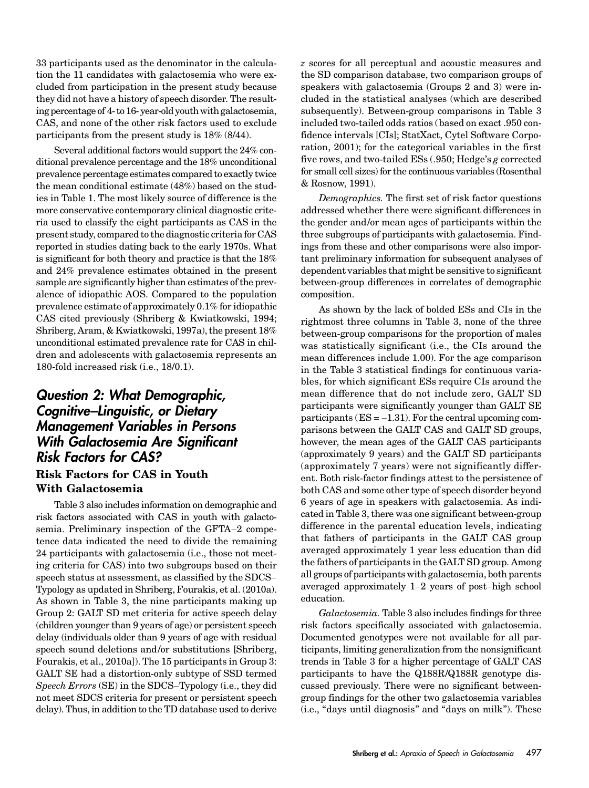33 participants used as the denominator in the calculation the 11 candidates with galactosemia who were excluded from participation in the present study because they did not have a history of speech disorder. The resulting percentage of 4- to 16- year-old youth with galactosemia, CAS, and none of the other risk factors used to exclude participants from the present study is 18% (8/44).

Several additional factors would support the 24% conditional prevalence percentage and the 18% unconditional prevalence percentage estimates compared to exactly twice the mean conditional estimate (48%) based on the studies in Table 1. The most likely source of difference is the more conservative contemporary clinical diagnostic criteria used to classify the eight participants as CAS in the present study, compared to the diagnostic criteria for CAS reported in studies dating back to the early 1970s. What is significant for both theory and practice is that the 18% and 24% prevalence estimates obtained in the present sample are significantly higher than estimates of the prevalence of idiopathic AOS. Compared to the population prevalence estimate of approximately 0.1% for idiopathic CAS cited previously (Shriberg & Kwiatkowski, 1994; Shriberg, Aram, & Kwiatkowski, 1997a), the present 18% unconditional estimated prevalence rate for CAS in children and adolescents with galactosemia represents an 180-fold increased risk (i.e., 18/0.1).

# Question 2: What Demographic, Cognitive*–*Linguistic, or Dietary Management Variables in Persons With Galactosemia Are Significant Risk Factors for CAS?

#### Risk Factors for CAS in Youth With Galactosemia

Table 3 also includes information on demographic and risk factors associated with CAS in youth with galactosemia. Preliminary inspection of the GFTA–2 competence data indicated the need to divide the remaining 24 participants with galactosemia (i.e., those not meeting criteria for CAS) into two subgroups based on their speech status at assessment, as classified by the SDCS– Typology as updated in Shriberg, Fourakis, et al. (2010a). As shown in Table 3, the nine participants making up Group 2: GALT SD met criteria for active speech delay (children younger than 9 years of age) or persistent speech delay (individuals older than 9 years of age with residual speech sound deletions and/or substitutions [Shriberg, Fourakis, et al., 2010a]). The 15 participants in Group 3: GALT SE had a distortion-only subtype of SSD termed Speech Errors (SE) in the SDCS–Typology (i.e., they did not meet SDCS criteria for present or persistent speech delay). Thus, in addition to the TD database used to derive

z scores for all perceptual and acoustic measures and the SD comparison database, two comparison groups of speakers with galactosemia (Groups 2 and 3) were included in the statistical analyses (which are described subsequently). Between-group comparisons in Table 3 included two-tailed odds ratios (based on exact .950 confidence intervals [CIs]; StatXact, Cytel Software Corporation, 2001); for the categorical variables in the first five rows, and two-tailed ESs (.950; Hedge's g corrected for small cell sizes) for the continuous variables (Rosenthal & Rosnow, 1991).

Demographics. The first set of risk factor questions addressed whether there were significant differences in the gender and/or mean ages of participants within the three subgroups of participants with galactosemia. Findings from these and other comparisons were also important preliminary information for subsequent analyses of dependent variables that might be sensitive to significant between-group differences in correlates of demographic composition.

As shown by the lack of bolded ESs and CIs in the rightmost three columns in Table 3, none of the three between-group comparisons for the proportion of males was statistically significant (i.e., the CIs around the mean differences include 1.00). For the age comparison in the Table 3 statistical findings for continuous variables, for which significant ESs require CIs around the mean difference that do not include zero, GALT SD participants were significantly younger than GALT SE participants ( $ES = -1.31$ ). For the central upcoming comparisons between the GALT CAS and GALT SD groups, however, the mean ages of the GALT CAS participants (approximately 9 years) and the GALT SD participants (approximately 7 years) were not significantly different. Both risk-factor findings attest to the persistence of both CAS and some other type of speech disorder beyond 6 years of age in speakers with galactosemia. As indicated in Table 3, there was one significant between-group difference in the parental education levels, indicating that fathers of participants in the GALT CAS group averaged approximately 1 year less education than did the fathers of participants in the GALT SD group. Among all groups of participants with galactosemia, both parents averaged approximately 1–2 years of post–high school education.

Galactosemia. Table 3 also includes findings for three risk factors specifically associated with galactosemia. Documented genotypes were not available for all participants, limiting generalization from the nonsignificant trends in Table 3 for a higher percentage of GALT CAS participants to have the Q188R/Q188R genotype discussed previously. There were no significant betweengroup findings for the other two galactosemia variables (i.e., "days until diagnosis" and "days on milk"). These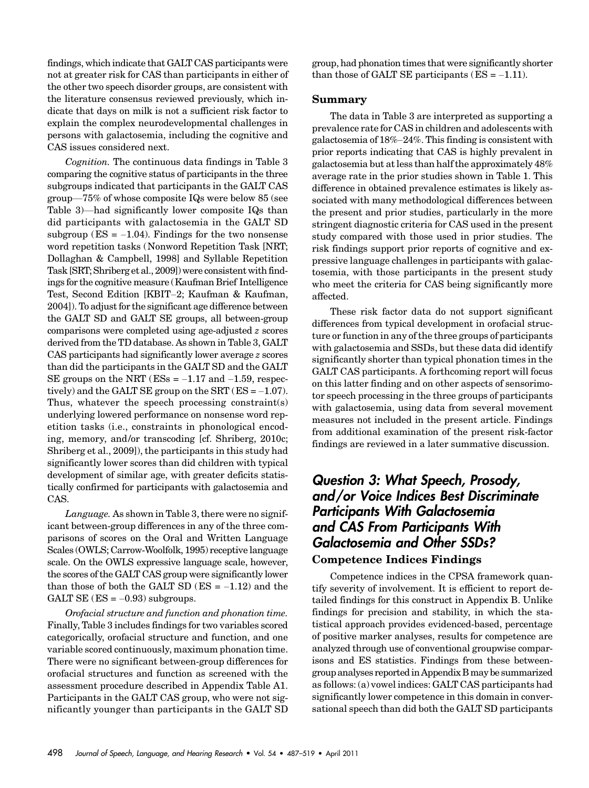findings, which indicate that GALT CAS participants were not at greater risk for CAS than participants in either of the other two speech disorder groups, are consistent with the literature consensus reviewed previously, which indicate that days on milk is not a sufficient risk factor to explain the complex neurodevelopmental challenges in persons with galactosemia, including the cognitive and CAS issues considered next.

Cognition. The continuous data findings in Table 3 comparing the cognitive status of participants in the three subgroups indicated that participants in the GALT CAS group—75% of whose composite IQs were below 85 (see Table 3)—had significantly lower composite IQs than did participants with galactosemia in the GALT SD subgroup ( $ES = -1.04$ ). Findings for the two nonsense word repetition tasks (Nonword Repetition Task [NRT; Dollaghan & Campbell, 1998] and Syllable Repetition Task [SRT; Shriberg et al., 2009]) were consistent with findings for the cognitive measure (Kaufman Brief Intelligence Test, Second Edition [KBIT–2; Kaufman & Kaufman, 2004]). To adjust for the significant age difference between the GALT SD and GALT SE groups, all between-group comparisons were completed using age-adjusted z scores derived from the TD database. As shown in Table 3, GALT CAS participants had significantly lower average z scores than did the participants in the GALT SD and the GALT SE groups on the NRT ( $ESs = -1.17$  and  $-1.59$ , respectively) and the GALT SE group on the SRT ( $ES = -1.07$ ). Thus, whatever the speech processing constraint(s) underlying lowered performance on nonsense word repetition tasks (i.e., constraints in phonological encoding, memory, and/or transcoding [cf. Shriberg, 2010c; Shriberg et al., 2009]), the participants in this study had significantly lower scores than did children with typical development of similar age, with greater deficits statistically confirmed for participants with galactosemia and CAS.

Language. As shown in Table 3, there were no significant between-group differences in any of the three comparisons of scores on the Oral and Written Language Scales (OWLS; Carrow-Woolfolk, 1995) receptive language scale. On the OWLS expressive language scale, however, the scores of the GALT CAS group were significantly lower than those of both the GALT SD  $(ES = -1.12)$  and the GALT SE  $(ES = -0.93)$  subgroups.

Orofacial structure and function and phonation time. Finally, Table 3 includes findings for two variables scored categorically, orofacial structure and function, and one variable scored continuously, maximum phonation time. There were no significant between-group differences for orofacial structures and function as screened with the assessment procedure described in Appendix Table A1. Participants in the GALT CAS group, who were not significantly younger than participants in the GALT SD group, had phonation times that were significantly shorter than those of GALT SE participants ( $ES = -1.11$ ).

#### Summary

The data in Table 3 are interpreted as supporting a prevalence rate for CAS in children and adolescents with galactosemia of 18%–24%. This finding is consistent with prior reports indicating that CAS is highly prevalent in galactosemia but at less than half the approximately 48% average rate in the prior studies shown in Table 1. This difference in obtained prevalence estimates is likely associated with many methodological differences between the present and prior studies, particularly in the more stringent diagnostic criteria for CAS used in the present study compared with those used in prior studies. The risk findings support prior reports of cognitive and expressive language challenges in participants with galactosemia, with those participants in the present study who meet the criteria for CAS being significantly more affected.

These risk factor data do not support significant differences from typical development in orofacial structure or function in any of the three groups of participants with galactosemia and SSDs, but these data did identify significantly shorter than typical phonation times in the GALT CAS participants. A forthcoming report will focus on this latter finding and on other aspects of sensorimotor speech processing in the three groups of participants with galactosemia, using data from several movement measures not included in the present article. Findings from additional examination of the present risk-factor findings are reviewed in a later summative discussion.

# Question 3: What Speech, Prosody, and/or Voice Indices Best Discriminate Participants With Galactosemia and CAS From Participants With Galactosemia and Other SSDs?

#### Competence Indices Findings

Competence indices in the CPSA framework quantify severity of involvement. It is efficient to report detailed findings for this construct in Appendix B. Unlike findings for precision and stability, in which the statistical approach provides evidenced-based, percentage of positive marker analyses, results for competence are analyzed through use of conventional groupwise comparisons and ES statistics. Findings from these betweengroup analyses reported in Appendix Bmay be summarized as follows: (a) vowel indices: GALT CAS participants had significantly lower competence in this domain in conversational speech than did both the GALT SD participants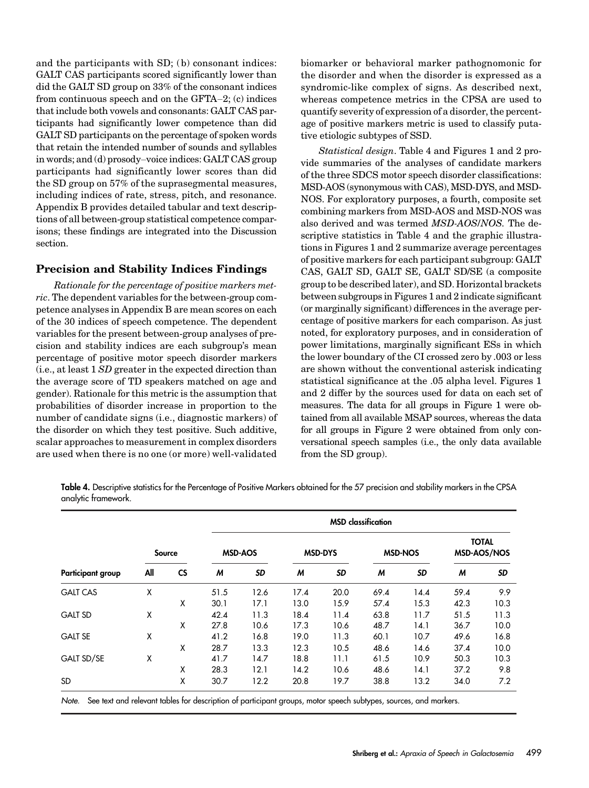and the participants with  $SD$ ; (b) consonant indices: GALT CAS participants scored significantly lower than did the GALT SD group on 33% of the consonant indices from continuous speech and on the GFTA–2; (c) indices that include both vowels and consonants: GALT CAS participants had significantly lower competence than did GALT SD participants on the percentage of spoken words that retain the intended number of sounds and syllables in words; and (d) prosody–voice indices: GALT CAS group participants had significantly lower scores than did the SD group on 57% of the suprasegmental measures, including indices of rate, stress, pitch, and resonance. Appendix B provides detailed tabular and text descriptions of all between-group statistical competence comparisons; these findings are integrated into the Discussion section.

#### Precision and Stability Indices Findings

Rationale for the percentage of positive markers metric. The dependent variables for the between-group competence analyses in Appendix B are mean scores on each of the 30 indices of speech competence. The dependent variables for the present between-group analyses of precision and stability indices are each subgroup's mean percentage of positive motor speech disorder markers (i.e., at least 1 SD greater in the expected direction than the average score of TD speakers matched on age and gender). Rationale for this metric is the assumption that probabilities of disorder increase in proportion to the number of candidate signs (i.e., diagnostic markers) of the disorder on which they test positive. Such additive, scalar approaches to measurement in complex disorders are used when there is no one (or more) well-validated

biomarker or behavioral marker pathognomonic for the disorder and when the disorder is expressed as a syndromic-like complex of signs. As described next, whereas competence metrics in the CPSA are used to quantify severity of expression of a disorder, the percentage of positive markers metric is used to classify putative etiologic subtypes of SSD.

Statistical design. Table 4 and Figures 1 and 2 provide summaries of the analyses of candidate markers of the three SDCS motor speech disorder classifications: MSD-AOS (synonymous with CAS), MSD-DYS, and MSD-NOS. For exploratory purposes, a fourth, composite set combining markers from MSD-AOS and MSD-NOS was also derived and was termed MSD-AOS/NOS. The descriptive statistics in Table 4 and the graphic illustrations in Figures 1 and 2 summarize average percentages of positive markers for each participant subgroup: GALT CAS, GALT SD, GALT SE, GALT SD/SE (a composite group to be described later), and SD. Horizontal brackets between subgroups in Figures 1 and 2 indicate significant (or marginally significant) differences in the average percentage of positive markers for each comparison. As just noted, for exploratory purposes, and in consideration of power limitations, marginally significant ESs in which the lower boundary of the CI crossed zero by .003 or less are shown without the conventional asterisk indicating statistical significance at the .05 alpha level. Figures 1 and 2 differ by the sources used for data on each set of measures. The data for all groups in Figure 1 were obtained from all available MSAP sources, whereas the data for all groups in Figure 2 were obtained from only conversational speech samples (i.e., the only data available from the SD group).

Table 4. Descriptive statistics for the Percentage of Positive Markers obtained for the 57 precision and stability markers in the CPSA analytic framework.

| <b>Participant group</b> |     | Source    |      | <b>MSD-AOS</b> |      | <b>MSD-DYS</b> |      | <b>MSD-NOS</b> | <b>TOTAL</b><br><b>MSD-AOS/NOS</b> |           |
|--------------------------|-----|-----------|------|----------------|------|----------------|------|----------------|------------------------------------|-----------|
|                          | All | <b>CS</b> | M    | <b>SD</b>      | M    | <b>SD</b>      | M    | <b>SD</b>      | M                                  | <b>SD</b> |
| <b>GALT CAS</b>          | X   |           | 51.5 | 12.6           | 17.4 | 20.0           | 69.4 | 14.4           | 59.4                               | 9.9       |
|                          |     | X         | 30.1 | 17.1           | 13.0 | 15.9           | 57.4 | 15.3           | 42.3                               | 10.3      |
| <b>GALT SD</b>           | χ   |           | 42.4 | 11.3           | 18.4 | 11.4           | 63.8 | 11.7           | 51.5                               | 11.3      |
|                          |     | X         | 27.8 | 10.6           | 17.3 | 10.6           | 48.7 | 14.1           | 36.7                               | 10.0      |
| <b>GALT SE</b>           | X   |           | 41.2 | 16.8           | 19.0 | 11.3           | 60.1 | 10.7           | 49.6                               | 16.8      |
|                          |     | X         | 28.7 | 13.3           | 12.3 | 10.5           | 48.6 | 14.6           | 37.4                               | 10.0      |
| <b>GALT SD/SE</b>        | Χ   |           | 41.7 | 14.7           | 18.8 | 11.1           | 61.5 | 10.9           | 50.3                               | 10.3      |
|                          |     | X         | 28.3 | 12.1           | 14.2 | 10.6           | 48.6 | 14.1           | 37.2                               | 9.8       |
| <b>SD</b>                |     | X         | 30.7 | 12.2           | 20.8 | 19.7           | 38.8 | 13.2           | 34.0                               | 7.2       |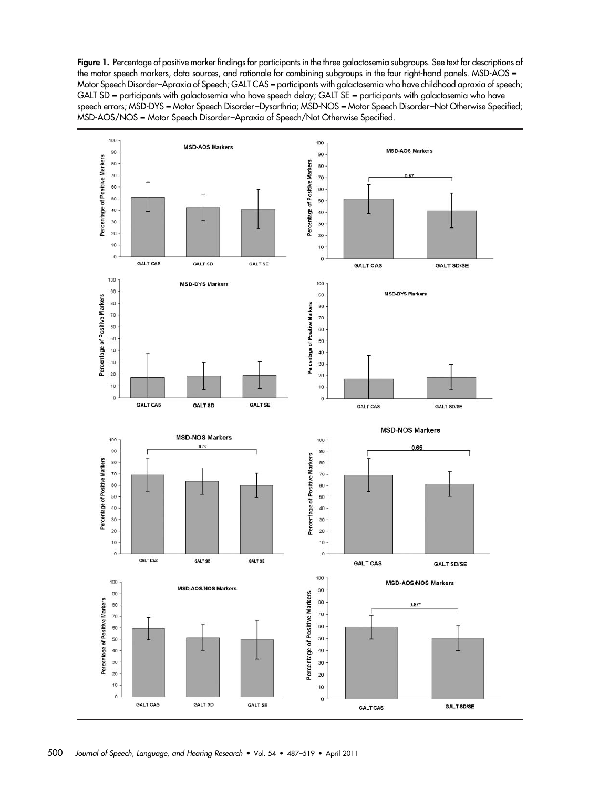Figure 1. Percentage of positive marker findings for participants in the three galactosemia subgroups. See text for descriptions of the motor speech markers, data sources, and rationale for combining subgroups in the four right-hand panels. MSD-AOS = Motor Speech Disorder–Apraxia of Speech; GALT CAS = participants with galactosemia who have childhood apraxia of speech; GALT SD = participants with galactosemia who have speech delay; GALT SE = participants with galactosemia who have speech errors; MSD-DYS = Motor Speech Disorder–Dysarthria; MSD-NOS = Motor Speech Disorder–Not Otherwise Specified; MSD-AOS/NOS = Motor Speech Disorder–Apraxia of Speech/Not Otherwise Specified.

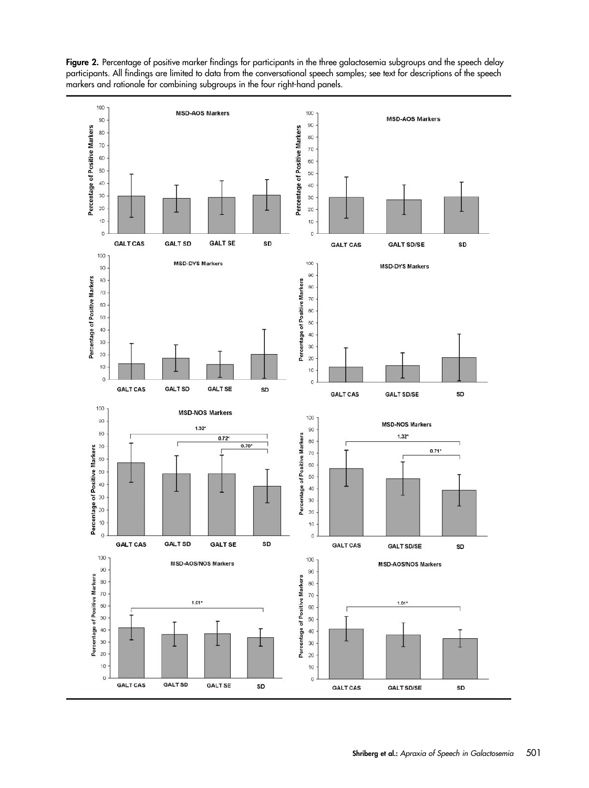Figure 2. Percentage of positive marker findings for participants in the three galactosemia subgroups and the speech delay participants. All findings are limited to data from the conversational speech samples; see text for descriptions of the speech markers and rationale for combining subgroups in the four right-hand panels.

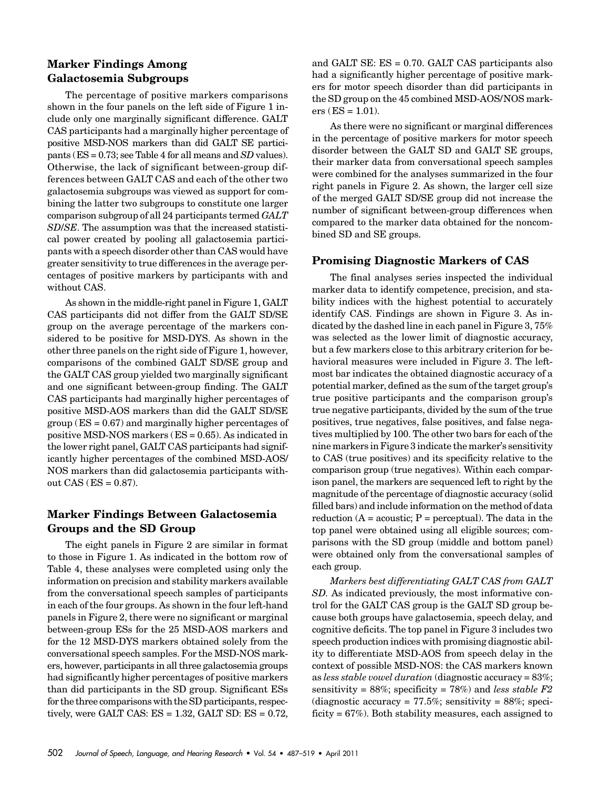#### Marker Findings Among Galactosemia Subgroups

The percentage of positive markers comparisons shown in the four panels on the left side of Figure 1 include only one marginally significant difference. GALT CAS participants had a marginally higher percentage of positive MSD-NOS markers than did GALT SE participants (ES = 0.73; see Table 4 for all means and SD values). Otherwise, the lack of significant between-group differences between GALT CAS and each of the other two galactosemia subgroups was viewed as support for combining the latter two subgroups to constitute one larger comparison subgroup of all 24 participants termed GALT SD/SE. The assumption was that the increased statistical power created by pooling all galactosemia participants with a speech disorder other than CAS would have greater sensitivity to true differences in the average percentages of positive markers by participants with and without CAS.

As shown in the middle-right panel in Figure 1, GALT CAS participants did not differ from the GALT SD/SE group on the average percentage of the markers considered to be positive for MSD-DYS. As shown in the other three panels on the right side of Figure 1, however, comparisons of the combined GALT SD/SE group and the GALT CAS group yielded two marginally significant and one significant between-group finding. The GALT CAS participants had marginally higher percentages of positive MSD-AOS markers than did the GALT SD/SE group ( $ES = 0.67$ ) and marginally higher percentages of positive MSD-NOS markers (ES = 0.65). As indicated in the lower right panel, GALT CAS participants had significantly higher percentages of the combined MSD-AOS/ NOS markers than did galactosemia participants without  $CAS$  ( $ES = 0.87$ ).

#### Marker Findings Between Galactosemia Groups and the SD Group

The eight panels in Figure 2 are similar in format to those in Figure 1. As indicated in the bottom row of Table 4, these analyses were completed using only the information on precision and stability markers available from the conversational speech samples of participants in each of the four groups. As shown in the four left-hand panels in Figure 2, there were no significant or marginal between-group ESs for the 25 MSD-AOS markers and for the 12 MSD-DYS markers obtained solely from the conversational speech samples. For the MSD-NOS markers, however, participants in all three galactosemia groups had significantly higher percentages of positive markers than did participants in the SD group. Significant ESs for the three comparisons with the SD participants, respectively, were GALT CAS: ES = 1.32, GALT SD: ES = 0.72,

and GALT SE: ES = 0.70. GALT CAS participants also had a significantly higher percentage of positive markers for motor speech disorder than did participants in the SD group on the 45 combined MSD-AOS/NOS mark $ers$  (ES = 1.01).

As there were no significant or marginal differences in the percentage of positive markers for motor speech disorder between the GALT SD and GALT SE groups, their marker data from conversational speech samples were combined for the analyses summarized in the four right panels in Figure 2. As shown, the larger cell size of the merged GALT SD/SE group did not increase the number of significant between-group differences when compared to the marker data obtained for the noncombined SD and SE groups.

#### Promising Diagnostic Markers of CAS

The final analyses series inspected the individual marker data to identify competence, precision, and stability indices with the highest potential to accurately identify CAS. Findings are shown in Figure 3. As indicated by the dashed line in each panel in Figure 3, 75% was selected as the lower limit of diagnostic accuracy, but a few markers close to this arbitrary criterion for behavioral measures were included in Figure 3. The leftmost bar indicates the obtained diagnostic accuracy of a potential marker, defined as the sum of the target group's true positive participants and the comparison group's true negative participants, divided by the sum of the true positives, true negatives, false positives, and false negatives multiplied by 100. The other two bars for each of the nine markers in Figure 3 indicate the marker's sensitivity to CAS (true positives) and its specificity relative to the comparison group (true negatives). Within each comparison panel, the markers are sequenced left to right by the magnitude of the percentage of diagnostic accuracy (solid filled bars) and include information on the method of data reduction  $(A = acoustic; P = perceptual)$ . The data in the top panel were obtained using all eligible sources; comparisons with the SD group (middle and bottom panel) were obtained only from the conversational samples of each group.

Markers best differentiating GALT CAS from GALT SD. As indicated previously, the most informative control for the GALT CAS group is the GALT SD group because both groups have galactosemia, speech delay, and cognitive deficits. The top panel in Figure 3 includes two speech production indices with promising diagnostic ability to differentiate MSD-AOS from speech delay in the context of possible MSD-NOS: the CAS markers known as less stable vowel duration (diagnostic accuracy = 83%; sensitivity = 88%; specificity = 78%) and less stable  $F2$ (diagnostic accuracy =  $77.5\%$ ; sensitivity =  $88\%$ ; specificity = 67%). Both stability measures, each assigned to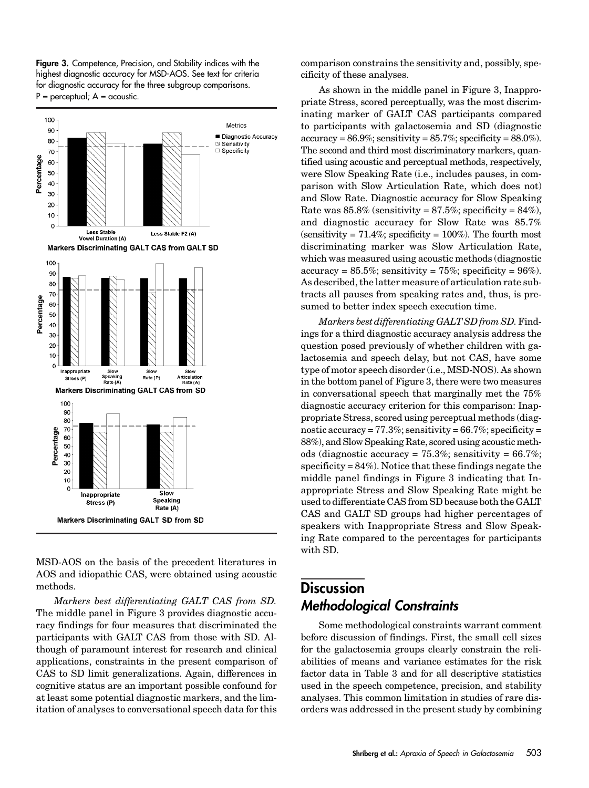Figure 3. Competence, Precision, and Stability indices with the highest diagnostic accuracy for MSD-AOS. See text for criteria for diagnostic accuracy for the three subgroup comparisons.  $P =$  perceptual;  $A =$  acoustic.



MSD-AOS on the basis of the precedent literatures in AOS and idiopathic CAS, were obtained using acoustic methods.

Markers best differentiating GALT CAS from SD. The middle panel in Figure 3 provides diagnostic accuracy findings for four measures that discriminated the participants with GALT CAS from those with SD. Although of paramount interest for research and clinical applications, constraints in the present comparison of CAS to SD limit generalizations. Again, differences in cognitive status are an important possible confound for at least some potential diagnostic markers, and the limitation of analyses to conversational speech data for this

comparison constrains the sensitivity and, possibly, specificity of these analyses.

As shown in the middle panel in Figure 3, Inappropriate Stress, scored perceptually, was the most discriminating marker of GALT CAS participants compared to participants with galactosemia and SD (diagnostic  $accuracy = 86.9\%$ ; sensitivity =  $85.7\%$ ; specificity =  $88.0\%$ ). The second and third most discriminatory markers, quantified using acoustic and perceptual methods, respectively, were Slow Speaking Rate (i.e., includes pauses, in comparison with Slow Articulation Rate, which does not) and Slow Rate. Diagnostic accuracy for Slow Speaking Rate was  $85.8\%$  (sensitivity =  $87.5\%$ ; specificity =  $84\%$ ), and diagnostic accuracy for Slow Rate was 85.7% (sensitivity =  $71.4\%$ ; specificity =  $100\%$ ). The fourth most discriminating marker was Slow Articulation Rate, which was measured using acoustic methods (diagnostic  $accuracy = 85.5\%$ ; sensitivity = 75%; specificity = 96%). As described, the latter measure of articulation rate subtracts all pauses from speaking rates and, thus, is presumed to better index speech execution time.

Markers best differentiating GALT SD from SD. Findings for a third diagnostic accuracy analysis address the question posed previously of whether children with galactosemia and speech delay, but not CAS, have some type of motor speech disorder (i.e., MSD-NOS). As shown in the bottom panel of Figure 3, there were two measures in conversational speech that marginally met the 75% diagnostic accuracy criterion for this comparison: Inappropriate Stress, scored using perceptual methods (diagnostic accuracy =  $77.3\%$ ; sensitivity =  $66.7\%$ ; specificity = 88%), and Slow Speaking Rate, scored using acoustic methods (diagnostic accuracy =  $75.3\%$ ; sensitivity =  $66.7\%$ ; specificity =  $84\%$ ). Notice that these findings negate the middle panel findings in Figure 3 indicating that Inappropriate Stress and Slow Speaking Rate might be used to differentiate CAS from SD because both the GALT CAS and GALT SD groups had higher percentages of speakers with Inappropriate Stress and Slow Speaking Rate compared to the percentages for participants with SD.

# **Discussion** Methodological Constraints

Some methodological constraints warrant comment before discussion of findings. First, the small cell sizes for the galactosemia groups clearly constrain the reliabilities of means and variance estimates for the risk factor data in Table 3 and for all descriptive statistics used in the speech competence, precision, and stability analyses. This common limitation in studies of rare disorders was addressed in the present study by combining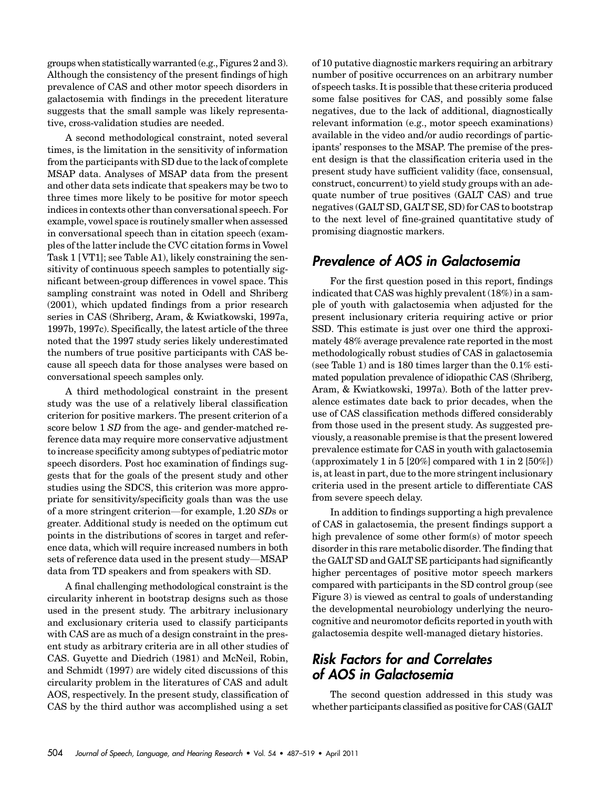groups when statistically warranted (e.g., Figures 2 and 3). Although the consistency of the present findings of high prevalence of CAS and other motor speech disorders in galactosemia with findings in the precedent literature suggests that the small sample was likely representative, cross-validation studies are needed.

A second methodological constraint, noted several times, is the limitation in the sensitivity of information from the participants with SD due to the lack of complete MSAP data. Analyses of MSAP data from the present and other data sets indicate that speakers may be two to three times more likely to be positive for motor speech indices in contexts other than conversational speech. For example, vowel space is routinely smaller when assessed in conversational speech than in citation speech (examples of the latter include the CVC citation forms in Vowel Task 1 [VT1]; see Table A1), likely constraining the sensitivity of continuous speech samples to potentially significant between-group differences in vowel space. This sampling constraint was noted in Odell and Shriberg (2001), which updated findings from a prior research series in CAS (Shriberg, Aram, & Kwiatkowski, 1997a, 1997b, 1997c). Specifically, the latest article of the three noted that the 1997 study series likely underestimated the numbers of true positive participants with CAS because all speech data for those analyses were based on conversational speech samples only.

A third methodological constraint in the present study was the use of a relatively liberal classification criterion for positive markers. The present criterion of a score below 1 SD from the age- and gender-matched reference data may require more conservative adjustment to increase specificity among subtypes of pediatric motor speech disorders. Post hoc examination of findings suggests that for the goals of the present study and other studies using the SDCS, this criterion was more appropriate for sensitivity/specificity goals than was the use of a more stringent criterion—for example, 1.20 SDs or greater. Additional study is needed on the optimum cut points in the distributions of scores in target and reference data, which will require increased numbers in both sets of reference data used in the present study—MSAP data from TD speakers and from speakers with SD.

A final challenging methodological constraint is the circularity inherent in bootstrap designs such as those used in the present study. The arbitrary inclusionary and exclusionary criteria used to classify participants with CAS are as much of a design constraint in the present study as arbitrary criteria are in all other studies of CAS. Guyette and Diedrich (1981) and McNeil, Robin, and Schmidt (1997) are widely cited discussions of this circularity problem in the literatures of CAS and adult AOS, respectively. In the present study, classification of CAS by the third author was accomplished using a set

of 10 putative diagnostic markers requiring an arbitrary number of positive occurrences on an arbitrary number of speech tasks. It is possible that these criteria produced some false positives for CAS, and possibly some false negatives, due to the lack of additional, diagnostically relevant information (e.g., motor speech examinations) available in the video and/or audio recordings of participants' responses to the MSAP. The premise of the present design is that the classification criteria used in the present study have sufficient validity (face, consensual, construct, concurrent) to yield study groups with an adequate number of true positives (GALT CAS) and true negatives (GALT SD, GALT SE, SD) for CAS to bootstrap to the next level of fine-grained quantitative study of promising diagnostic markers.

### Prevalence of AOS in Galactosemia

For the first question posed in this report, findings indicated that CAS was highly prevalent (18%) in a sample of youth with galactosemia when adjusted for the present inclusionary criteria requiring active or prior SSD. This estimate is just over one third the approximately 48% average prevalence rate reported in the most methodologically robust studies of CAS in galactosemia (see Table 1) and is 180 times larger than the 0.1% estimated population prevalence of idiopathic CAS (Shriberg, Aram, & Kwiatkowski, 1997a). Both of the latter prevalence estimates date back to prior decades, when the use of CAS classification methods differed considerably from those used in the present study. As suggested previously, a reasonable premise is that the present lowered prevalence estimate for CAS in youth with galactosemia (approximately 1 in 5 [20%] compared with 1 in 2 [50%]) is, at least in part, due to the more stringent inclusionary criteria used in the present article to differentiate CAS from severe speech delay.

In addition to findings supporting a high prevalence of CAS in galactosemia, the present findings support a high prevalence of some other form(s) of motor speech disorder in this rare metabolic disorder. The finding that the GALT SD and GALT SE participants had significantly higher percentages of positive motor speech markers compared with participants in the SD control group (see Figure 3) is viewed as central to goals of understanding the developmental neurobiology underlying the neurocognitive and neuromotor deficits reported in youth with galactosemia despite well-managed dietary histories.

# Risk Factors for and Correlates of AOS in Galactosemia

The second question addressed in this study was whether participants classified as positive for CAS (GALT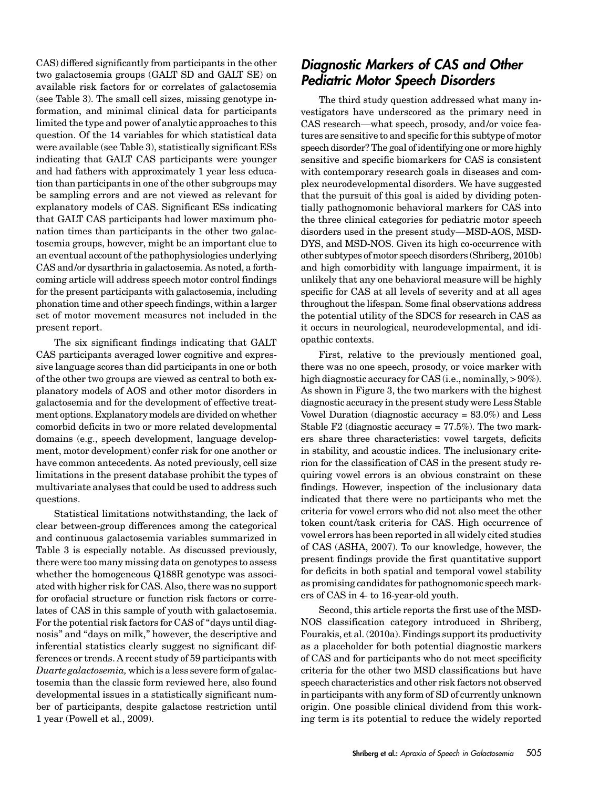CAS) differed significantly from participants in the other two galactosemia groups (GALT SD and GALT SE) on available risk factors for or correlates of galactosemia (see Table 3). The small cell sizes, missing genotype information, and minimal clinical data for participants limited the type and power of analytic approaches to this question. Of the 14 variables for which statistical data were available (see Table 3), statistically significant ESs indicating that GALT CAS participants were younger and had fathers with approximately 1 year less education than participants in one of the other subgroups may be sampling errors and are not viewed as relevant for explanatory models of CAS. Significant ESs indicating that GALT CAS participants had lower maximum phonation times than participants in the other two galactosemia groups, however, might be an important clue to an eventual account of the pathophysiologies underlying CAS and/or dysarthria in galactosemia. As noted, a forthcoming article will address speech motor control findings for the present participants with galactosemia, including phonation time and other speech findings, within a larger set of motor movement measures not included in the present report.

The six significant findings indicating that GALT CAS participants averaged lower cognitive and expressive language scores than did participants in one or both of the other two groups are viewed as central to both explanatory models of AOS and other motor disorders in galactosemia and for the development of effective treatment options. Explanatory models are divided on whether comorbid deficits in two or more related developmental domains (e.g., speech development, language development, motor development) confer risk for one another or have common antecedents. As noted previously, cell size limitations in the present database prohibit the types of multivariate analyses that could be used to address such questions.

Statistical limitations notwithstanding, the lack of clear between-group differences among the categorical and continuous galactosemia variables summarized in Table 3 is especially notable. As discussed previously, there were too many missing data on genotypes to assess whether the homogeneous Q188R genotype was associated with higher risk for CAS. Also, there was no support for orofacial structure or function risk factors or correlates of CAS in this sample of youth with galactosemia. For the potential risk factors for CAS of "days until diagnosis" and "days on milk," however, the descriptive and inferential statistics clearly suggest no significant differences or trends. A recent study of 59 participants with Duarte galactosemia, which is a less severe form of galactosemia than the classic form reviewed here, also found developmental issues in a statistically significant number of participants, despite galactose restriction until 1 year (Powell et al., 2009).

### Diagnostic Markers of CAS and Other Pediatric Motor Speech Disorders

The third study question addressed what many investigators have underscored as the primary need in CAS research—what speech, prosody, and/or voice features are sensitive to and specific for this subtype of motor speech disorder? The goal of identifying one or more highly sensitive and specific biomarkers for CAS is consistent with contemporary research goals in diseases and complex neurodevelopmental disorders. We have suggested that the pursuit of this goal is aided by dividing potentially pathognomonic behavioral markers for CAS into the three clinical categories for pediatric motor speech disorders used in the present study—MSD-AOS, MSD-DYS, and MSD-NOS. Given its high co-occurrence with other subtypes of motor speech disorders (Shriberg, 2010b) and high comorbidity with language impairment, it is unlikely that any one behavioral measure will be highly specific for CAS at all levels of severity and at all ages throughout the lifespan. Some final observations address the potential utility of the SDCS for research in CAS as it occurs in neurological, neurodevelopmental, and idiopathic contexts.

First, relative to the previously mentioned goal, there was no one speech, prosody, or voice marker with high diagnostic accuracy for CAS (i.e., nominally,  $> 90\%$ ). As shown in Figure 3, the two markers with the highest diagnostic accuracy in the present study were Less Stable Vowel Duration (diagnostic accuracy  $= 83.0\%$ ) and Less Stable F2 (diagnostic accuracy  $= 77.5\%$ ). The two markers share three characteristics: vowel targets, deficits in stability, and acoustic indices. The inclusionary criterion for the classification of CAS in the present study requiring vowel errors is an obvious constraint on these findings. However, inspection of the inclusionary data indicated that there were no participants who met the criteria for vowel errors who did not also meet the other token count/task criteria for CAS. High occurrence of vowel errors has been reported in all widely cited studies of CAS (ASHA, 2007). To our knowledge, however, the present findings provide the first quantitative support for deficits in both spatial and temporal vowel stability as promising candidates for pathognomonic speech markers of CAS in 4- to 16-year-old youth.

Second, this article reports the first use of the MSD-NOS classification category introduced in Shriberg, Fourakis, et al. (2010a). Findings support its productivity as a placeholder for both potential diagnostic markers of CAS and for participants who do not meet specificity criteria for the other two MSD classifications but have speech characteristics and other risk factors not observed in participants with any form of SD of currently unknown origin. One possible clinical dividend from this working term is its potential to reduce the widely reported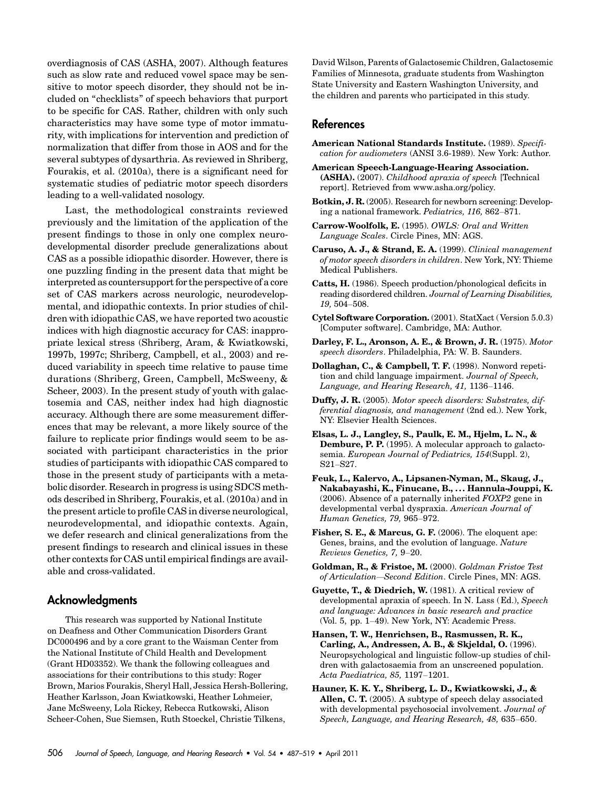overdiagnosis of CAS (ASHA, 2007). Although features such as slow rate and reduced vowel space may be sensitive to motor speech disorder, they should not be included on "checklists" of speech behaviors that purport to be specific for CAS. Rather, children with only such characteristics may have some type of motor immaturity, with implications for intervention and prediction of normalization that differ from those in AOS and for the several subtypes of dysarthria. As reviewed in Shriberg, Fourakis, et al. (2010a), there is a significant need for systematic studies of pediatric motor speech disorders leading to a well-validated nosology.

Last, the methodological constraints reviewed previously and the limitation of the application of the present findings to those in only one complex neurodevelopmental disorder preclude generalizations about CAS as a possible idiopathic disorder. However, there is one puzzling finding in the present data that might be interpreted as countersupport for the perspective of a core set of CAS markers across neurologic, neurodevelopmental, and idiopathic contexts. In prior studies of children with idiopathic CAS, we have reported two acoustic indices with high diagnostic accuracy for CAS: inappropriate lexical stress (Shriberg, Aram, & Kwiatkowski, 1997b, 1997c; Shriberg, Campbell, et al., 2003) and reduced variability in speech time relative to pause time durations (Shriberg, Green, Campbell, McSweeny, & Scheer, 2003). In the present study of youth with galactosemia and CAS, neither index had high diagnostic accuracy. Although there are some measurement differences that may be relevant, a more likely source of the failure to replicate prior findings would seem to be associated with participant characteristics in the prior studies of participants with idiopathic CAS compared to those in the present study of participants with a metabolic disorder. Research in progress is using SDCS methods described in Shriberg, Fourakis, et al. (2010a) and in the present article to profile CAS in diverse neurological, neurodevelopmental, and idiopathic contexts. Again, we defer research and clinical generalizations from the present findings to research and clinical issues in these other contexts for CAS until empirical findings are available and cross-validated.

#### Acknowledgments

This research was supported by National Institute on Deafness and Other Communication Disorders Grant DC000496 and by a core grant to the Waisman Center from the National Institute of Child Health and Development (Grant HD03352). We thank the following colleagues and associations for their contributions to this study: Roger Brown, Marios Fourakis, Sheryl Hall, Jessica Hersh-Bollering, Heather Karlsson, Joan Kwiatkowski, Heather Lohmeier, Jane McSweeny, Lola Rickey, Rebecca Rutkowski, Alison Scheer-Cohen, Sue Siemsen, Ruth Stoeckel, Christie Tilkens,

David Wilson, Parents of Galactosemic Children, Galactosemic Families of Minnesota, graduate students from Washington State University and Eastern Washington University, and the children and parents who participated in this study.

#### References

- American National Standards Institute. (1989). Specification for audiometers (ANSI 3.6-1989). New York: Author.
- American Speech-Language-Hearing Association. (ASHA). (2007). Childhood apraxia of speech [Technical report]. Retrieved from www.asha.org/policy.
- Botkin, J. R. (2005). Research for newborn screening: Developing a national framework. Pediatrics, 116, 862–871.
- Carrow-Woolfolk, E. (1995). OWLS: Oral and Written Language Scales. Circle Pines, MN: AGS.
- Caruso, A. J., & Strand, E. A. (1999). Clinical management of motor speech disorders in children. New York, NY: Thieme Medical Publishers.
- Catts, H. (1986). Speech production/phonological deficits in reading disordered children. Journal of Learning Disabilities, 19, 504–508.
- Cytel Software Corporation. (2001). StatXact ( Version 5.0.3) [Computer software]. Cambridge, MA: Author.
- Darley, F. L., Aronson, A. E., & Brown, J. R. (1975). Motor speech disorders. Philadelphia, PA: W. B. Saunders.
- Dollaghan, C., & Campbell, T. F. (1998). Nonword repetition and child language impairment. Journal of Speech, Language, and Hearing Research, 41, 1136–1146.
- Duffy, J. R. (2005). Motor speech disorders: Substrates, differential diagnosis, and management (2nd ed.). New York, NY: Elsevier Health Sciences.
- Elsas, L. J., Langley, S., Paulk, E. M., Hjelm, L. N., & Dembure, P. P. (1995). A molecular approach to galactosemia. European Journal of Pediatrics, 154(Suppl. 2), S21–S27.
- Feuk, L., Kalervo, A., Lipsanen-Nyman, M., Skaug, J., Nakabayashi, K., Finucane, B., ... Hannula-Jouppi, K.  $(2006)$ . Absence of a paternally inherited  $FOXP2$  gene in developmental verbal dyspraxia. American Journal of Human Genetics, 79, 965–972.
- Fisher, S. E., & Marcus, G. F. (2006). The eloquent ape: Genes, brains, and the evolution of language. Nature Reviews Genetics, 7, 9–20.
- Goldman, R., & Fristoe, M. (2000). Goldman Fristoe Test of Articulation—Second Edition. Circle Pines, MN: AGS.
- Guyette, T., & Diedrich, W. (1981). A critical review of developmental apraxia of speech. In N. Lass (Ed.), Speech and language: Advances in basic research and practice (Vol. 5, pp. 1–49). New York, NY: Academic Press.
- Hansen, T. W., Henrichsen, B., Rasmussen, R. K., Carling, A., Andressen, A. B., & Skjeldal, O. (1996). Neuropsychological and linguistic follow-up studies of children with galactosaemia from an unscreened population. Acta Paediatrica, 85, 1197–1201.
- Hauner, K. K. Y., Shriberg, L. D., Kwiatkowski, J., & Allen, C. T. (2005). A subtype of speech delay associated with developmental psychosocial involvement. Journal of Speech, Language, and Hearing Research, 48, 635–650.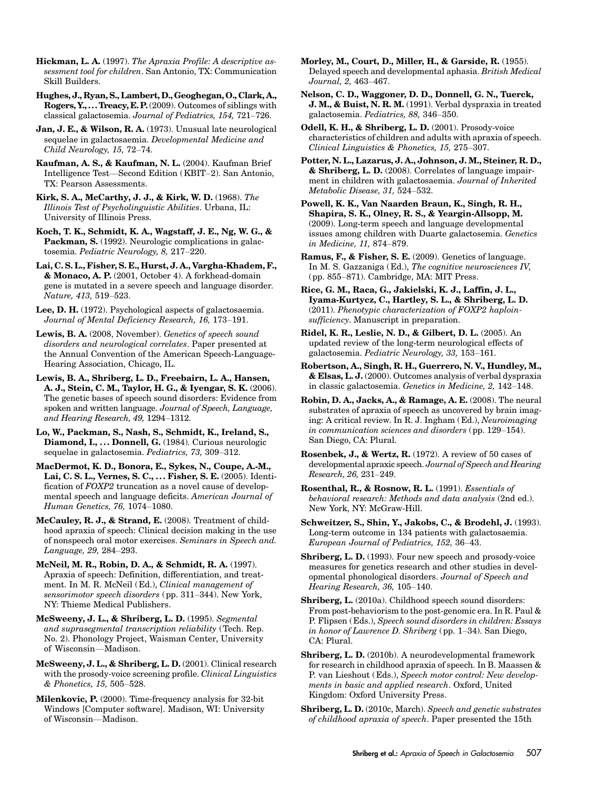Hickman, L. A. (1997). The Apraxia Profile: A descriptive assessment tool for children. San Antonio, TX: Communication Skill Builders.

Hughes, J., Ryan, S., Lambert, D., Geoghegan, O., Clark, A., Rogers, Y., ... Treacy, E. P.(2009). Outcomes of siblings with classical galactosemia. Journal of Pediatrics, 154, 721–726.

Jan, J. E., & Wilson, R. A. (1973). Unusual late neurological sequelae in galactosaemia. Developmental Medicine and Child Neurology, 15, 72–74.

Kaufman, A. S., & Kaufman, N. L. (2004). Kaufman Brief Intelligence Test—Second Edition (KBIT–2). San Antonio, TX: Pearson Assessments.

Kirk, S. A., McCarthy, J. J., & Kirk, W. D. (1968). The Illinois Test of Psycholinguistic Abilities. Urbana, IL: University of Illinois Press.

Koch, T. K., Schmidt, K. A., Wagstaff, J. E., Ng, W. G., & Packman, S. (1992). Neurologic complications in galactosemia. Pediatric Neurology, 8, 217–220.

Lai, C. S. L., Fisher, S. E., Hurst, J. A., Vargha-Khadem, F., & Monaco, A. P. (2001, October 4). A forkhead-domain gene is mutated in a severe speech and language disorder. Nature, 413, 519–523.

Lee, D. H. (1972). Psychological aspects of galactosaemia. Journal of Mental Deficiency Research, 16, 173–191.

Lewis, B. A. (2008, November). Genetics of speech sound disorders and neurological correlates. Paper presented at the Annual Convention of the American Speech-Language-Hearing Association, Chicago, IL.

Lewis, B. A., Shriberg, L. D., Freebairn, L. A., Hansen, A. J., Stein, C. M., Taylor, H. G., & Iyengar, S. K. (2006). The genetic bases of speech sound disorders: Evidence from spoken and written language. Journal of Speech, Language, and Hearing Research, 49, 1294–1312.

Lo, W., Packman, S., Nash, S., Schmidt, K., Ireland, S., Diamond, I., ... Donnell, G. (1984). Curious neurologic sequelae in galactosemia. Pediatrics, 73, 309–312.

MacDermot, K. D., Bonora, E., Sykes, N., Coupe, A.-M., Lai, C. S. L., Vernes, S. C., . . . Fisher, S. E. (2005). Identification of FOXP2 truncation as a novel cause of developmental speech and language deficits. American Journal of Human Genetics, 76, 1074–1080.

McCauley, R. J., & Strand, E. (2008). Treatment of childhood apraxia of speech: Clinical decision making in the use of nonspeech oral motor exercises. Seminars in Speech and. Language, 29, 284–293.

McNeil, M. R., Robin, D. A., & Schmidt, R. A. (1997). Apraxia of speech: Definition, differentiation, and treatment. In M. R. McNeil (Ed.), *Clinical management of* sensorimotor speech disorders (pp. 311–344). New York, NY: Thieme Medical Publishers.

McSweeny, J. L., & Shriberg, L. D. (1995). Segmental and suprasegmental transcription reliability (Tech. Rep. No. 2). Phonology Project, Waisman Center, University of Wisconsin—Madison.

McSweeny, J. L., & Shriberg, L. D. (2001). Clinical research with the prosody-voice screening profile. *Clinical Linguistics* & Phonetics, 15, 505–528.

Milenkovic, P. (2000). Time-frequency analysis for 32-bit Windows [Computer software]. Madison, WI: University of Wisconsin—Madison.

Morley, M., Court, D., Miller, H., & Garside, R. (1955). Delayed speech and developmental aphasia. British Medical Journal, 2, 463–467.

Nelson, C. D., Waggoner, D. D., Donnell, G. N., Tuerck, J. M., & Buist, N. R. M. (1991). Verbal dyspraxia in treated galactosemia. Pediatrics, 88, 346–350.

Odell, K. H., & Shriberg, L. D. (2001). Prosody-voice characteristics of children and adults with apraxia of speech. Clinical Linguistics & Phonetics, 15, 275–307.

Potter, N. L., Lazarus, J. A., Johnson, J. M., Steiner, R. D., & Shriberg, L. D. (2008). Correlates of language impairment in children with galactosaemia. Journal of Inherited Metabolic Disease, 31, 524–532.

Powell, K. K., Van Naarden Braun, K., Singh, R. H., Shapira, S. K., Olney, R. S., & Yeargin-Allsopp, M. (2009). Long-term speech and language developmental issues among children with Duarte galactosemia. Genetics in Medicine, 11, 874–879.

Ramus, F., & Fisher, S. E. (2009). Genetics of language. In M. S. Gazzaniga ( Ed.), The cognitive neurosciences IV, ( pp. 855–871). Cambridge, MA: MIT Press.

Rice, G. M., Raca, G., Jakielski, K. J., Laffin, J. L., Iyama-Kurtycz, C., Hartley, S. L., & Shriberg, L. D. (2011). Phenotypic characterization of FOXP2 haploinsufficiency. Manuscript in preparation.

Ridel, K. R., Leslie, N. D., & Gilbert, D. L. (2005). An updated review of the long-term neurological effects of galactosemia. Pediatric Neurology, 33, 153–161.

Robertson, A., Singh, R. H., Guerrero, N. V., Hundley, M., & Elsas, L. J. (2000). Outcomes analysis of verbal dyspraxia in classic galactosemia. Genetics in Medicine, 2, 142–148.

Robin, D. A., Jacks, A., & Ramage, A. E. (2008). The neural substrates of apraxia of speech as uncovered by brain imaging: A critical review. In R. J. Ingham ( Ed.), Neuroimaging in communication sciences and disorders (pp. 129–154). San Diego, CA: Plural.

Rosenbek, J., & Wertz, R. (1972). A review of 50 cases of developmental apraxic speech. Journal of Speech and Hearing Research, 26, 231–249.

Rosenthal, R., & Rosnow, R. L. (1991). Essentials of behavioral research: Methods and data analysis (2nd ed.). New York, NY: McGraw-Hill.

Schweitzer, S., Shin, Y., Jakobs, C., & Brodehl, J. (1993). Long-term outcome in 134 patients with galactosaemia. European Journal of Pediatrics, 152, 36–43.

Shriberg, L. D. (1993). Four new speech and prosody-voice measures for genetics research and other studies in developmental phonological disorders. Journal of Speech and Hearing Research, 36, 105–140.

Shriberg, L. (2010a). Childhood speech sound disorders: From post-behaviorism to the post-genomic era. In R. Paul & P. Flipsen ( Eds.), Speech sound disorders in children: Essays in honor of Lawrence D. Shriberg (pp. 1–34). San Diego, CA: Plural.

Shriberg, L. D. (2010b). A neurodevelopmental framework for research in childhood apraxia of speech. In B. Maassen & P. van Lieshout (Eds.), Speech motor control: New developments in basic and applied research. Oxford, United Kingdom: Oxford University Press.

Shriberg, L. D. (2010c, March). Speech and genetic substrates of childhood apraxia of speech. Paper presented the 15th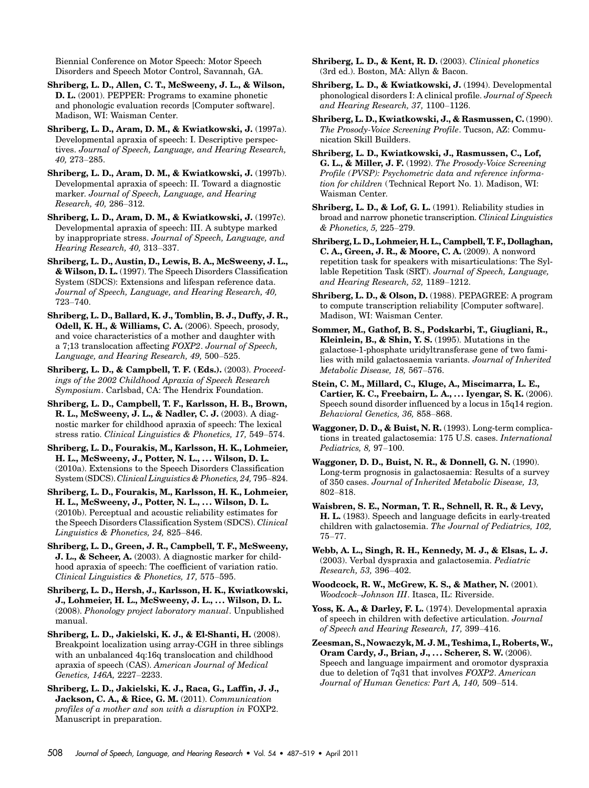Biennial Conference on Motor Speech: Motor Speech Disorders and Speech Motor Control, Savannah, GA.

Shriberg, L. D., Allen, C. T., McSweeny, J. L., & Wilson, D. L. (2001). PEPPER: Programs to examine phonetic and phonologic evaluation records [Computer software]. Madison, WI: Waisman Center.

Shriberg, L. D., Aram, D. M., & Kwiatkowski, J. (1997a). Developmental apraxia of speech: I. Descriptive perspectives. Journal of Speech, Language, and Hearing Research, 40, 273–285.

Shriberg, L. D., Aram, D. M., & Kwiatkowski, J. (1997b). Developmental apraxia of speech: II. Toward a diagnostic marker. Journal of Speech, Language, and Hearing Research, 40, 286–312.

Shriberg, L. D., Aram, D. M., & Kwiatkowski, J. (1997c). Developmental apraxia of speech: III. A subtype marked by inappropriate stress. Journal of Speech, Language, and Hearing Research, 40, 313–337.

Shriberg, L. D., Austin, D., Lewis, B. A., McSweeny, J. L., & Wilson, D. L. (1997). The Speech Disorders Classification System (SDCS): Extensions and lifespan reference data. Journal of Speech, Language, and Hearing Research, 40, 723–740.

Shriberg, L. D., Ballard, K. J., Tomblin, B. J., Duffy, J. R., Odell, K. H., & Williams, C. A. (2006). Speech, prosody, and voice characteristics of a mother and daughter with a 7;13 translocation affecting FOXP2. Journal of Speech, Language, and Hearing Research, 49, 500–525.

Shriberg, L. D., & Campbell, T. F. (Eds.). (2003). Proceedings of the 2002 Childhood Apraxia of Speech Research Symposium. Carlsbad, CA: The Hendrix Foundation.

Shriberg, L. D., Campbell, T. F., Karlsson, H. B., Brown, R. L., McSweeny, J. L., & Nadler, C. J. (2003). A diagnostic marker for childhood apraxia of speech: The lexical stress ratio. Clinical Linguistics & Phonetics, 17, 549–574.

Shriberg, L. D., Fourakis, M., Karlsson, H. K., Lohmeier, H. L., McSweeny, J., Potter, N. L., . . . Wilson, D. L. (2010a). Extensions to the Speech Disorders Classification System (SDCS). Clinical Linguistics & Phonetics, 24, 795–824.

Shriberg, L. D., Fourakis, M., Karlsson, H. K., Lohmeier, H. L., McSweeny, J., Potter, N. L., . . . Wilson, D. L. (2010b). Perceptual and acoustic reliability estimates for the Speech Disorders Classification System (SDCS). Clinical Linguistics & Phonetics, 24, 825–846.

Shriberg, L. D., Green, J. R., Campbell, T. F., McSweeny, J. L., & Scheer, A. (2003). A diagnostic marker for childhood apraxia of speech: The coefficient of variation ratio. Clinical Linguistics & Phonetics, 17, 575–595.

Shriberg, L. D., Hersh, J., Karlsson, H. K., Kwiatkowski, J., Lohmeier, H. L., McSweeny, J. L., . . . Wilson, D. L. (2008). Phonology project laboratory manual. Unpublished manual.

Shriberg, L. D., Jakielski, K. J., & El-Shanti, H. (2008). Breakpoint localization using array-CGH in three siblings with an unbalanced 4q:16q translocation and childhood apraxia of speech (CAS). American Journal of Medical Genetics, 146A, 2227–2233.

Shriberg, L. D., Jakielski, K. J., Raca, G., Laffin, J. J., Jackson, C. A., & Rice, G. M. (2011). Communication profiles of a mother and son with a disruption in FOXP2. Manuscript in preparation.

Shriberg, L. D., & Kent, R. D. (2003). Clinical phonetics (3rd ed.). Boston, MA: Allyn & Bacon.

Shriberg, L. D., & Kwiatkowski, J. (1994). Developmental phonological disorders I: A clinical profile. Journal of Speech and Hearing Research, 37, 1100–1126.

Shriberg, L. D., Kwiatkowski, J., & Rasmussen, C. (1990). The Prosody-Voice Screening Profile. Tucson, AZ: Communication Skill Builders.

Shriberg, L. D., Kwiatkowski, J., Rasmussen, C., Lof, G. L., & Miller, J. F. (1992). The Prosody-Voice Screening Profile (PVSP): Psychometric data and reference information for children (Technical Report No. 1). Madison, WI: Waisman Center.

Shriberg, L. D., & Lof, G. L. (1991). Reliability studies in broad and narrow phonetic transcription. Clinical Linguistics & Phonetics, 5, 225–279.

Shriberg, L. D., Lohmeier, H. L., Campbell, T. F., Dollaghan, C. A., Green, J. R., & Moore, C. A. (2009). A nonword repetition task for speakers with misarticulations: The Syllable Repetition Task (SRT). Journal of Speech, Language, and Hearing Research, 52, 1189–1212.

Shriberg, L. D., & Olson, D. (1988). PEPAGREE: A program to compute transcription reliability [Computer software]. Madison, WI: Waisman Center.

Sommer, M., Gathof, B. S., Podskarbi, T., Giugliani, R., Kleinlein, B., & Shin, Y. S. (1995). Mutations in the galactose-1-phosphate uridyltransferase gene of two families with mild galactosaemia variants. Journal of Inherited Metabolic Disease, 18, 567–576.

Stein, C. M., Millard, C., Kluge, A., Miscimarra, L. E., Cartier, K. C., Freebairn, L. A., . . . Iyengar, S. K. (2006). Speech sound disorder influenced by a locus in 15q14 region. Behavioral Genetics, 36, 858–868.

Waggoner, D. D., & Buist, N. R. (1993). Long-term complications in treated galactosemia: 175 U.S. cases. International Pediatrics, 8, 97–100.

Waggoner, D. D., Buist, N. R., & Donnell, G. N. (1990). Long-term prognosis in galactosaemia: Results of a survey of 350 cases. Journal of Inherited Metabolic Disease, 13, 802–818.

Waisbren, S. E., Norman, T. R., Schnell, R. R., & Levy, H. L. (1983). Speech and language deficits in early-treated children with galactosemia. The Journal of Pediatrics, 102, 75–77.

Webb, A. L., Singh, R. H., Kennedy, M. J., & Elsas, L. J. (2003). Verbal dyspraxia and galactosemia. Pediatric Research, 53, 396–402.

Woodcock, R. W., McGrew, K. S., & Mather, N. (2001). Woodcock–Johnson III. Itasca, IL: Riverside.

Yoss, K. A., & Darley, F. L. (1974). Developmental apraxia of speech in children with defective articulation. Journal of Speech and Hearing Research, 17, 399–416.

Zeesman, S., Nowaczyk, M. J. M., Teshima, I., Roberts, W., Oram Cardy, J., Brian, J., ... Scherer, S. W. (2006). Speech and language impairment and oromotor dyspraxia due to deletion of 7q31 that involves FOXP2. American Journal of Human Genetics: Part A, 140, 509–514.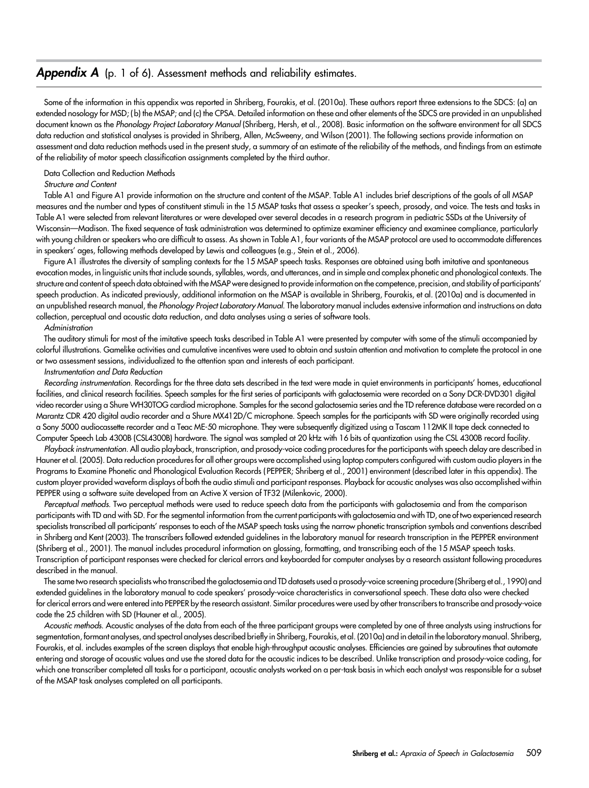#### **Appendix A** (p. 1 of 6). Assessment methods and reliability estimates.

Some of the information in this appendix was reported in Shriberg, Fourakis, et al. (2010a). These authors report three extensions to the SDCS: (a) an extended nosology for MSD; ( b) the MSAP; and (c) the CPSA. Detailed information on these and other elements of the SDCS are provided in an unpublished document known as the Phonology Project Laboratory Manual (Shriberg, Hersh, et al., 2008). Basic information on the software environment for all SDCS data reduction and statistical analyses is provided in Shriberg, Allen, McSweeny, and Wilson (2001). The following sections provide information on assessment and data reduction methods used in the present study, a summary of an estimate of the reliability of the methods, and findings from an estimate of the reliability of motor speech classification assignments completed by the third author.

#### Data Collection and Reduction Methods

#### Structure and Content

Table A1 and Figure A1 provide information on the structure and content of the MSAP. Table A1 includes brief descriptions of the goals of all MSAP measures and the number and types of constituent stimuli in the 15 MSAP tasks that assess a speaker's speech, prosody, and voice. The tests and tasks in Table A1 were selected from relevant literatures or were developed over several decades in a research program in pediatric SSDs at the University of Wisconsin—Madison. The fixed sequence of task administration was determined to optimize examiner efficiency and examinee compliance, particularly with young children or speakers who are difficult to assess. As shown in Table A1, four variants of the MSAP protocol are used to accommodate differences in speakers' ages, following methods developed by Lewis and colleagues (e.g., Stein et al., 2006).

Figure A1 illustrates the diversity of sampling contexts for the 15 MSAP speech tasks. Responses are obtained using both imitative and spontaneous evocation modes, in linguistic units that include sounds, syllables, words, and utterances, and in simple and complex phonetic and phonological contexts. The structure and content of speech data obtained with the MSAP were designed to provide information on the competence, precision, and stability of participants' speech production. As indicated previously, additional information on the MSAP is available in Shriberg, Fourakis, et al. (2010a) and is documented in an unpublished research manual, the Phonology Project Laboratory Manual. The laboratory manual includes extensive information and instructions on data collection, perceptual and acoustic data reduction, and data analyses using a series of software tools.

#### Administration

The auditory stimuli for most of the imitative speech tasks described in Table A1 were presented by computer with some of the stimuli accompanied by colorful illustrations. Gamelike activities and cumulative incentives were used to obtain and sustain attention and motivation to complete the protocol in one or two assessment sessions, individualized to the attention span and interests of each participant.

#### Instrumentation and Data Reduction

Recording instrumentation. Recordings for the three data sets described in the text were made in quiet environments in participants' homes, educational facilities, and clinical research facilities. Speech samples for the first series of participants with galactosemia were recorded on a Sony DCR-DVD301 digital video recorder using a Shure WH30TOG cardiod microphone. Samples for the second galactosemia series and the TD reference database were recorded on a Marantz CDR 420 digital audio recorder and a Shure MX412D/C microphone. Speech samples for the participants with SD were originally recorded using a Sony 5000 audiocassette recorder and a Teac ME-50 microphone. They were subsequently digitized using a Tascam 112MK II tape deck connected to Computer Speech Lab 4300B (CSL4300B) hardware. The signal was sampled at 20 kHz with 16 bits of quantization using the CSL 4300B record facility.

Playback instrumentation. All audio playback, transcription, and prosody-voice coding procedures for the participants with speech delay are described in Hauner et al. (2005). Data reduction procedures for all other groups were accomplished using laptop computers configured with custom audio players in the Programs to Examine Phonetic and Phonological Evaluation Records ( PEPPER; Shriberg et al., 2001) environment (described later in this appendix). The custom player provided waveform displays of both the audio stimuli and participant responses. Playback for acoustic analyses was also accomplished within PEPPER using a software suite developed from an Active X version of TF32 (Milenkovic, 2000).

Perceptual methods. Two perceptual methods were used to reduce speech data from the participants with galactosemia and from the comparison participants with TD and with SD. For the segmental information from the current participants with galactosemia and with TD, one of two experienced research specialists transcribed all participants' responses to each of the MSAP speech tasks using the narrow phonetic transcription symbols and conventions described in Shriberg and Kent (2003). The transcribers followed extended guidelines in the laboratory manual for research transcription in the PEPPER environment (Shriberg et al., 2001). The manual includes procedural information on glossing, formatting, and transcribing each of the 15 MSAP speech tasks. Transcription of participant responses were checked for clerical errors and keyboarded for computer analyses by a research assistant following procedures described in the manual.

The same two research specialists who transcribed the galactosemia and TD datasets used a prosody-voice screening procedure (Shriberg et al., 1990) and extended guidelines in the laboratory manual to code speakers' prosody-voice characteristics in conversational speech. These data also were checked for clerical errors and were entered into PEPPER by the research assistant. Similar procedures were used by other transcribers to transcribe and prosody-voice code the 25 children with SD (Hauner et al., 2005).

Acoustic methods. Acoustic analyses of the data from each of the three participant groups were completed by one of three analysts using instructions for segmentation, formant analyses, and spectral analyses described briefly in Shriberg, Fourakis, et al. (2010a) and in detail in the laboratory manual. Shriberg, Fourakis, et al. includes examples of the screen displays that enable high-throughput acoustic analyses. Efficiencies are gained by subroutines that automate entering and storage of acoustic values and use the stored data for the acoustic indices to be described. Unlike transcription and prosody-voice coding, for which one transcriber completed all tasks for a participant, acoustic analysts worked on a per-task basis in which each analyst was responsible for a subset of the MSAP task analyses completed on all participants.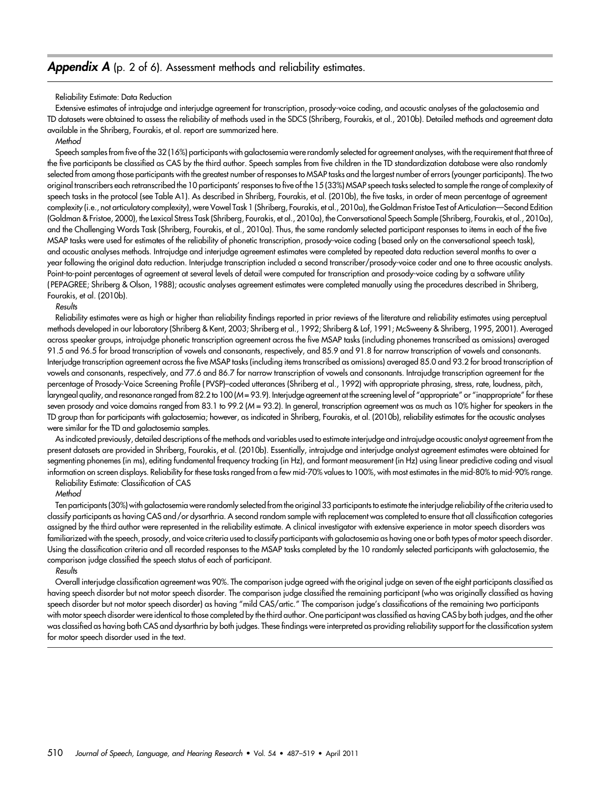#### **Appendix A** (p. 2 of 6). Assessment methods and reliability estimates.

#### Reliability Estimate: Data Reduction

Extensive estimates of intrajudge and interjudge agreement for transcription, prosody-voice coding, and acoustic analyses of the galactosemia and TD datasets were obtained to assess the reliability of methods used in the SDCS (Shriberg, Fourakis, et al., 2010b). Detailed methods and agreement data available in the Shriberg, Fourakis, et al. report are summarized here.

**Method** 

Speech samples from five of the 32 (16%) participants with galactosemia were randomly selected for agreement analyses, with the requirement that three of the five participants be classified as CAS by the third author. Speech samples from five children in the TD standardization database were also randomly selected from among those participants with the greatest number of responses to MSAP tasks and the largest number of errors (younger participants). The two original transcribers each retranscribed the 10 participants' responses to five of the 15 (33%) MSAP speech tasks selected to sample the range of complexity of speech tasks in the protocol (see Table A1). As described in Shriberg, Fourakis, et al. (2010b), the five tasks, in order of mean percentage of agreement complexity (i.e., not articulatory complexity), were Vowel Task 1 (Shriberg, Fourakis, et al., 2010a), the Goldman Fristoe Test of Articulation—Second Edition (Goldman & Fristoe, 2000), the Lexical Stress Task (Shriberg, Fourakis, et al., 2010a), the Conversational Speech Sample (Shriberg, Fourakis, et al., 2010a), and the Challenging Words Task (Shriberg, Fourakis, et al., 2010a). Thus, the same randomly selected participant responses to items in each of the five MSAP tasks were used for estimates of the reliability of phonetic transcription, prosody-voice coding ( based only on the conversational speech task), and acoustic analyses methods. Intrajudge and interjudge agreement estimates were completed by repeated data reduction several months to over a year following the original data reduction. Interjudge transcription included a second transcriber/prosody-voice coder and one to three acoustic analysts. Point-to-point percentages of agreement at several levels of detail were computed for transcription and prosody-voice coding by a software utility ( PEPAGREE; Shriberg & Olson, 1988); acoustic analyses agreement estimates were completed manually using the procedures described in Shriberg, Fourakis, et al. (2010b).

#### Results

Reliability estimates were as high or higher than reliability findings reported in prior reviews of the literature and reliability estimates using perceptual methods developed in our laboratory (Shriberg & Kent, 2003; Shriberg et al., 1992; Shriberg & Lof, 1991; McSweeny & Shriberg, 1995, 2001). Averaged across speaker groups, intrajudge phonetic transcription agreement across the five MSAP tasks (including phonemes transcribed as omissions) averaged 91.5 and 96.5 for broad transcription of vowels and consonants, respectively, and 85.9 and 91.8 for narrow transcription of vowels and consonants. Interjudge transcription agreement across the five MSAP tasks (including items transcribed as omissions) averaged 85.0 and 93.2 for broad transcription of vowels and consonants, respectively, and 77.6 and 86.7 for narrow transcription of vowels and consonants. Intrajudge transcription agreement for the percentage of Prosody-Voice Screening Profile ( PVSP)–coded utterances (Shriberg et al., 1992) with appropriate phrasing, stress, rate, loudness, pitch, laryngeal quality, and resonance ranged from 82.2 to 100 (M = 93.9). Interjudge agreement at the screening level of "appropriate" or "inappropriate" for these seven prosody and voice domains ranged from 83.1 to 99.2 (M = 93.2). In general, transcription agreement was as much as 10% higher for speakers in the TD group than for participants with galactosemia; however, as indicated in Shriberg, Fourakis, et al. (2010b), reliability estimates for the acoustic analyses were similar for the TD and galactosemia samples.

As indicated previously, detailed descriptions of the methods and variables used to estimate interjudge and intrajudge acoustic analyst agreement from the present datasets are provided in Shriberg, Fourakis, et al. (2010b). Essentially, intrajudge and interjudge analyst agreement estimates were obtained for segmenting phonemes (in ms), editing fundamental frequency tracking (in Hz), and formant measurement (in Hz) using linear predictive coding and visual information on screen displays. Reliability for these tasks ranged from a few mid-70% values to 100%, with most estimates in the mid-80% to mid-90% range.

#### Reliability Estimate: Classification of CAS

#### **Method**

Ten participants (30%) with galactosemia were randomly selected from the original 33 participants to estimate the interjudge reliability of the criteria used to classify participants as having CAS and /or dysarthria. A second random sample with replacement was completed to ensure that all classification categories assigned by the third author were represented in the reliability estimate. A clinical investigator with extensive experience in motor speech disorders was familiarized with the speech, prosody, and voice criteria used to classify participants with galactosemia as having one or both types of motor speech disorder. Using the classification criteria and all recorded responses to the MSAP tasks completed by the 10 randomly selected participants with galactosemia, the comparison judge classified the speech status of each of participant.

#### Results

Overall interjudge classification agreement was 90%. The comparison judge agreed with the original judge on seven of the eight participants classified as having speech disorder but not motor speech disorder. The comparison judge classified the remaining participant (who was originally classified as having speech disorder but not motor speech disorder) as having "mild CAS/artic." The comparison judge's classifications of the remaining two participants with motor speech disorder were identical to those completed by the third author. One participant was classified as having CAS by both judges, and the other was classified as having both CAS and dysarthria by both judges. These findings were interpreted as providing reliability support for the classification system for motor speech disorder used in the text.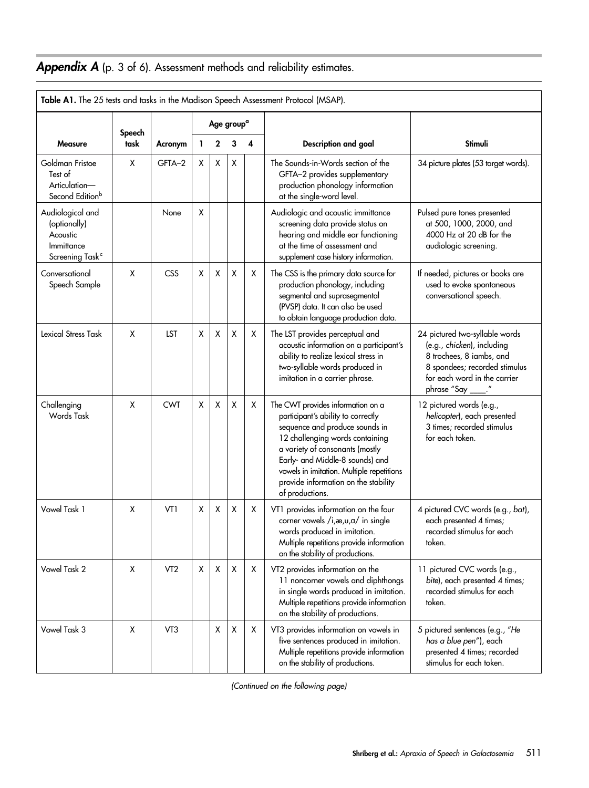# Appendix A (p. 3 of 6). Assessment methods and reliability estimates.

|                                                                                           |                |                 |   |   |                        |   | Table A1. The 25 tests and tasks in the Madison Speech Assessment Protocol (MSAP).                                                                                                                                                                                                                                         |                                                                                                                                                                          |
|-------------------------------------------------------------------------------------------|----------------|-----------------|---|---|------------------------|---|----------------------------------------------------------------------------------------------------------------------------------------------------------------------------------------------------------------------------------------------------------------------------------------------------------------------------|--------------------------------------------------------------------------------------------------------------------------------------------------------------------------|
|                                                                                           |                |                 |   |   | Age group <sup>a</sup> |   |                                                                                                                                                                                                                                                                                                                            |                                                                                                                                                                          |
| <b>Measure</b>                                                                            | Speech<br>task | Acronym         | L | 2 | 3                      | 4 | Description and goal                                                                                                                                                                                                                                                                                                       | <b>Stimuli</b>                                                                                                                                                           |
| Goldman Fristoe<br>Test of<br>Articulation-<br>Second Edition <sup>b</sup>                | X              | GFTA-2          | X | X | X                      |   | The Sounds-in-Words section of the<br>GFTA-2 provides supplementary<br>production phonology information<br>at the single-word level.                                                                                                                                                                                       | 34 picture plates (53 target words).                                                                                                                                     |
| Audiological and<br>(optionally)<br>Acoustic<br>Immittance<br>Screening Task <sup>c</sup> |                | None            | X |   |                        |   | Audiologic and acoustic immittance<br>screening data provide status on<br>hearing and middle ear functioning<br>at the time of assessment and<br>supplement case history information.                                                                                                                                      | Pulsed pure tones presented<br>at 500, 1000, 2000, and<br>4000 Hz at 20 dB for the<br>audiologic screening.                                                              |
| Conversational<br>Speech Sample                                                           | X              | CSS             | X | X | X                      | X | The CSS is the primary data source for<br>production phonology, including<br>segmental and suprasegmental<br>(PVSP) data. It can also be used<br>to obtain language production data.                                                                                                                                       | If needed, pictures or books are<br>used to evoke spontaneous<br>conversational speech.                                                                                  |
| Lexical Stress Task                                                                       | X              | <b>LST</b>      | X | X | X                      | X | The LST provides perceptual and<br>acoustic information on a participant's<br>ability to realize lexical stress in<br>two-syllable words produced in<br>imitation in a carrier phrase.                                                                                                                                     | 24 pictured two-syllable words<br>(e.g., chicken), including<br>8 trochees, 8 iambs, and<br>8 spondees; recorded stimulus<br>for each word in the carrier<br>phrase "Say |
| Challenging<br>Words Task                                                                 | X              | <b>CWT</b>      | X | X | X                      | Χ | The CWT provides information on a<br>participant's ability to correctly<br>sequence and produce sounds in<br>12 challenging words containing<br>a variety of consonants (mostly<br>Early- and Middle-8 sounds) and<br>vowels in imitation. Multiple repetitions<br>provide information on the stability<br>of productions. | 12 pictured words (e.g.,<br>helicopter), each presented<br>3 times; recorded stimulus<br>for each token.                                                                 |
| Vowel Task 1                                                                              | X              | VT1             | X | X | X                      | X | VT1 provides information on the four<br>corner vowels /i,æ,u,a/ in single<br>words produced in imitation.<br>Multiple repetitions provide information<br>on the stability of productions.                                                                                                                                  | 4 pictured CVC words (e.g., bat),<br>each presented 4 times;<br>recorded stimulus for each<br>token.                                                                     |
| Vowel Task 2                                                                              | X              | VT <sub>2</sub> | X | X | X                      | Χ | VT2 provides information on the<br>11 noncorner vowels and diphthongs<br>in single words produced in imitation.<br>Multiple repetitions provide information<br>on the stability of productions.                                                                                                                            | 11 pictured CVC words (e.g.,<br>bite), each presented 4 times;<br>recorded stimulus for each<br>token.                                                                   |
| Vowel Task 3                                                                              | X              | VT3             |   | X | $\pmb{\mathsf{X}}$     | Χ | VT3 provides information on vowels in<br>five sentences produced in imitation.<br>Multiple repetitions provide information<br>on the stability of productions.                                                                                                                                                             | 5 pictured sentences (e.g., "He<br>has a blue pen"), each<br>presented 4 times; recorded<br>stimulus for each token.                                                     |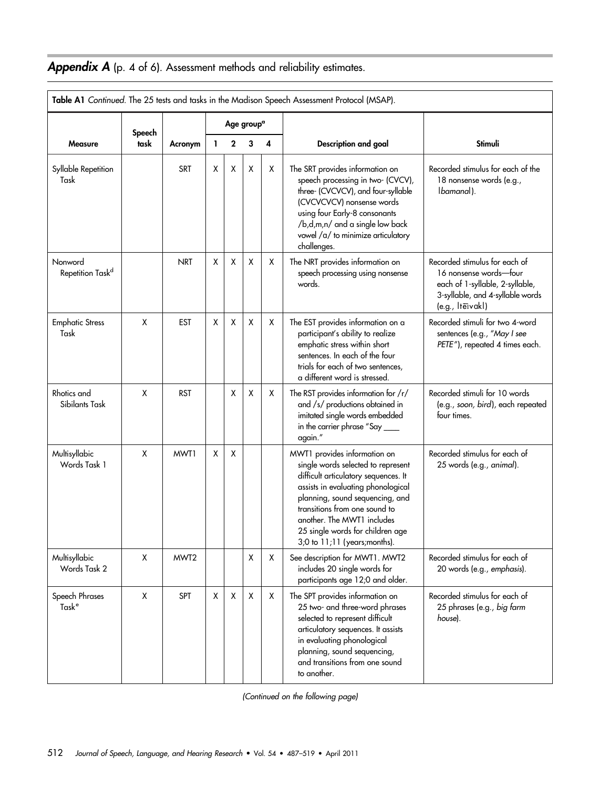# Appendix A (p. 4 of 6). Assessment methods and reliability estimates.

|                                         | Table A1 Continued. The 25 tests and tasks in the Madison Speech Assessment Protocol (MSAP). |            |   |             |                        |   |                                                                                                                                                                                                                                                                                                                        |                                                                                                                                                    |  |  |  |  |  |  |
|-----------------------------------------|----------------------------------------------------------------------------------------------|------------|---|-------------|------------------------|---|------------------------------------------------------------------------------------------------------------------------------------------------------------------------------------------------------------------------------------------------------------------------------------------------------------------------|----------------------------------------------------------------------------------------------------------------------------------------------------|--|--|--|--|--|--|
|                                         |                                                                                              |            |   |             | Age group <sup>a</sup> |   |                                                                                                                                                                                                                                                                                                                        |                                                                                                                                                    |  |  |  |  |  |  |
| <b>Measure</b>                          | Speech<br>task                                                                               | Acronym    | 1 | $\mathbf 2$ | 3                      | 4 | Description and goal                                                                                                                                                                                                                                                                                                   | Stimuli                                                                                                                                            |  |  |  |  |  |  |
| Syllable Repetition<br>Task             |                                                                                              | <b>SRT</b> | X | X           | X                      | X | The SRT provides information on<br>speech processing in two- (CVCV),<br>three- (CVCVCV), and four-syllable<br>(CVCVCVCV) nonsense words<br>using four Early-8 consonants<br>/b,d,m,n/ and a single low back<br>vowel /a/ to minimize articulatory<br>challenges.                                                       | Recorded stimulus for each of the<br>18 nonsense words (e.g.,<br>Ibamanal).                                                                        |  |  |  |  |  |  |
| Nonword<br>Repetition Task <sup>d</sup> |                                                                                              | <b>NRT</b> | X | X           | X                      | Х | The NRT provides information on<br>speech processing using nonsense<br>words.                                                                                                                                                                                                                                          | Recorded stimulus for each of<br>16 nonsense words-four<br>each of 1-syllable, 2-syllable,<br>3-syllable, and 4-syllable words<br>(e.g., Itervakl) |  |  |  |  |  |  |
| <b>Emphatic Stress</b><br>Task          | X                                                                                            | <b>EST</b> | X | X           | Χ                      | Х | The EST provides information on a<br>participant's ability to realize<br>emphatic stress within short<br>sentences. In each of the four<br>trials for each of two sentences,<br>a different word is stressed.                                                                                                          | Recorded stimuli for two 4-word<br>sentences (e.g., "May I see<br>PETE"), repeated 4 times each.                                                   |  |  |  |  |  |  |
| Rhotics and<br>Sibilants Task           | X                                                                                            | <b>RST</b> |   | X           | Χ                      | X | The RST provides information for /r/<br>and /s/ productions obtained in<br>imitated single words embedded<br>in the carrier phrase "Say ____<br>again."                                                                                                                                                                | Recorded stimuli for 10 words<br>(e.g., soon, bird), each repeated<br>four times.                                                                  |  |  |  |  |  |  |
| Multisyllabic<br>Words Task 1           | X                                                                                            | MWT1       | X | X           |                        |   | MWT1 provides information on<br>single words selected to represent<br>difficult articulatory sequences. It<br>assists in evaluating phonological<br>planning, sound sequencing, and<br>transitions from one sound to<br>another. The MWT1 includes<br>25 single words for children age<br>3;0 to 11;11 (years;months). | Recorded stimulus for each of<br>25 words (e.g., animal).                                                                                          |  |  |  |  |  |  |
| Multisyllabic<br>Words Task 2           | X                                                                                            | MWT2       |   |             | X                      | Χ | See description for MWT1. MWT2<br>includes 20 single words for<br>participants age 12;0 and older.                                                                                                                                                                                                                     | Recorded stimulus for each of<br>20 words (e.g., emphasis).                                                                                        |  |  |  |  |  |  |
| Speech Phrases<br>Task <sup>e</sup>     | X                                                                                            | <b>SPT</b> | X | X           | X                      | X | The SPT provides information on<br>25 two- and three-word phrases<br>selected to represent difficult<br>articulatory sequences. It assists<br>in evaluating phonological<br>planning, sound sequencing,<br>and transitions from one sound<br>to another.                                                               | Recorded stimulus for each of<br>25 phrases (e.g., big farm<br>house).                                                                             |  |  |  |  |  |  |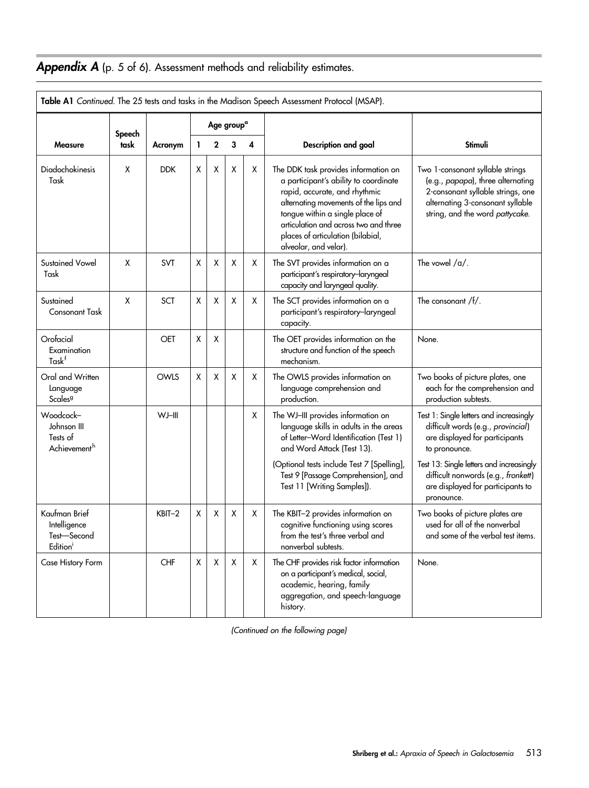# Appendix A (p. 5 of 6). Assessment methods and reliability estimates.

| Table A1 Continued. The 25 tests and tasks in the Madison Speech Assessment Protocol (MSAP). |        |            |   |             |                        |   |                                                                                                                                                                                                                                                                                                   |                                                                                                                                                                                   |  |  |  |  |  |
|----------------------------------------------------------------------------------------------|--------|------------|---|-------------|------------------------|---|---------------------------------------------------------------------------------------------------------------------------------------------------------------------------------------------------------------------------------------------------------------------------------------------------|-----------------------------------------------------------------------------------------------------------------------------------------------------------------------------------|--|--|--|--|--|
|                                                                                              | Speech |            |   |             | Age group <sup>a</sup> |   |                                                                                                                                                                                                                                                                                                   |                                                                                                                                                                                   |  |  |  |  |  |
| <b>Measure</b>                                                                               | task   | Acronym    | L | $\mathbf 2$ | 3                      | 4 | Description and goal                                                                                                                                                                                                                                                                              | Stimuli                                                                                                                                                                           |  |  |  |  |  |
| <b>Diadochokinesis</b><br>Task                                                               | X      | <b>DDK</b> | X | X           | X                      | X | The DDK task provides information on<br>a participant's ability to coordinate<br>rapid, accurate, and rhythmic<br>alternating movements of the lips and<br>tongue within a single place of<br>articulation and across two and three<br>places of articulation (bilabial,<br>alveolar, and velar). | Two 1-consonant syllable strings<br>(e.g., papapa), three alternating<br>2-consonant syllable strings, one<br>alternating 3-consonant syllable<br>string, and the word pattycake. |  |  |  |  |  |
| <b>Sustained Vowel</b><br>Task                                                               | X      | SVT        | X | X           | X                      | X | The SVT provides information on a<br>participant's respiratory-laryngeal<br>capacity and laryngeal quality.                                                                                                                                                                                       | The vowel $/a/$ .                                                                                                                                                                 |  |  |  |  |  |
| Sustained<br><b>Consonant Task</b>                                                           | X      | <b>SCT</b> | X | X           | X                      | Х | The SCT provides information on a<br>participant's respiratory-laryngeal<br>capacity.                                                                                                                                                                                                             | The consonant /f/.                                                                                                                                                                |  |  |  |  |  |
| Orofacial<br>Examination<br>Task <sup>f</sup>                                                |        | OET        | X | X           |                        |   | The OET provides information on the<br>structure and function of the speech<br>mechanism.                                                                                                                                                                                                         | None.                                                                                                                                                                             |  |  |  |  |  |
| Oral and Written<br>Language<br>Scales <sup>g</sup>                                          |        | OWLS       | χ | X           | X                      | X | The OWLS provides information on<br>language comprehension and<br>production.                                                                                                                                                                                                                     | Two books of picture plates, one<br>each for the comprehension and<br>production subtests.                                                                                        |  |  |  |  |  |
| Woodcock-<br>Johnson III<br>Tests of<br>Achievement <sup>h</sup>                             |        | WJ-III     |   |             |                        | X | The WJ-III provides information on<br>language skills in adults in the areas<br>of Letter-Word Identification (Test 1)<br>and Word Attack (Test 13).                                                                                                                                              | Test 1: Single letters and increasingly<br>difficult words (e.g., provincial)<br>are displayed for participants<br>to pronounce.                                                  |  |  |  |  |  |
|                                                                                              |        |            |   |             |                        |   | (Optional tests include Test 7 [Spelling],<br>Test 9 [Passage Comprehension], and<br>Test 11 [Writing Samples]).                                                                                                                                                                                  | Test 13: Single letters and increasingly<br>difficult nonwords (e.g., fronkett)<br>are displayed for participants to<br>pronounce.                                                |  |  |  |  |  |
| Kaufman Brief<br>Intelligence<br>Test-Second<br>Edition                                      |        | $KBIT-2$   | X | X           | Χ                      | Х | The KBIT-2 provides information on<br>cognitive functioning using scores<br>from the test's three verbal and<br>nonverbal subtests.                                                                                                                                                               | Two books of picture plates are<br>used for all of the nonverbal<br>and some of the verbal test items.                                                                            |  |  |  |  |  |
| Case History Form                                                                            |        | CHF        | X | X           | Χ                      | X | The CHF provides risk factor information<br>on a participant's medical, social,<br>academic, hearing, family<br>aggregation, and speech-language<br>history.                                                                                                                                      | None.                                                                                                                                                                             |  |  |  |  |  |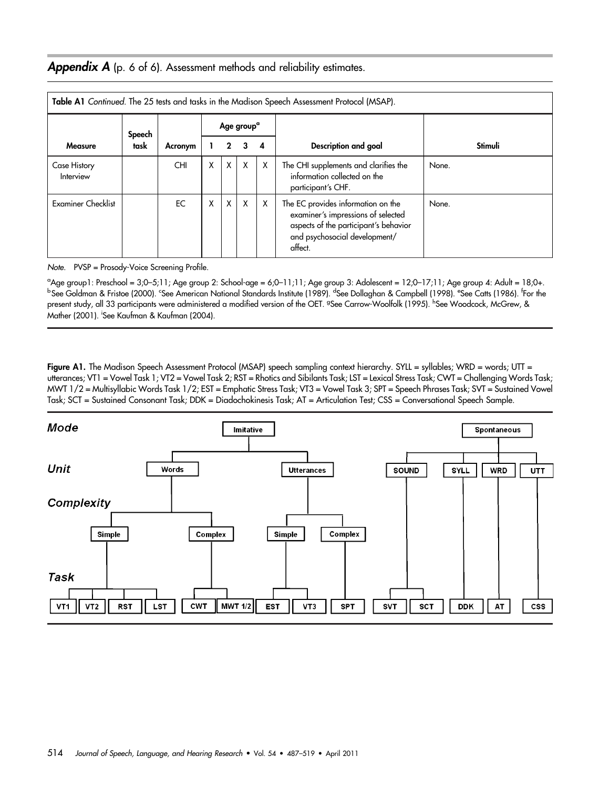### Appendix A (p. 6 of 6). Assessment methods and reliability estimates.

|                           | Table A1 Continued. The 25 tests and tasks in the Madison Speech Assessment Protocol (MSAP). |            |   |             |                        |                  |                                                                                                                                                               |         |  |  |  |  |  |  |  |
|---------------------------|----------------------------------------------------------------------------------------------|------------|---|-------------|------------------------|------------------|---------------------------------------------------------------------------------------------------------------------------------------------------------------|---------|--|--|--|--|--|--|--|
|                           | Speech                                                                                       |            |   |             | Age group <sup>a</sup> |                  |                                                                                                                                                               |         |  |  |  |  |  |  |  |
| <b>Measure</b>            | task                                                                                         | Acronym    |   | $2^{\circ}$ | 3                      | $\boldsymbol{A}$ | Description and goal                                                                                                                                          | Stimuli |  |  |  |  |  |  |  |
| Case History<br>Interview |                                                                                              | <b>CHI</b> | X | X           | X                      | X                | The CHI supplements and clarifies the<br>information collected on the<br>participant's CHF.                                                                   | None.   |  |  |  |  |  |  |  |
| <b>Examiner Checklist</b> |                                                                                              | EC         | X | X           | X                      | X                | The EC provides information on the<br>examiner's impressions of selected<br>aspects of the participant's behavior<br>and psychosocial development/<br>affect. | None.   |  |  |  |  |  |  |  |

Note. PVSP = Prosody-Voice Screening Profile.

a Age group1: Preschool = 3;0–5;11; Age group 2: School-age = 6;0–11;11; Age group 3: Adolescent = 12;0–17;11; Age group 4: Adult = 18;0+. <sup>b</sup> See Goldman & Fristoe (2000). <sup>c</sup>See American National Standards Institute (1989). <sup>d</sup>See Dollaghan & Campbell (1998). <sup>e</sup>See Catts (1986). <sup>f</sup>For the present study, all 33 participants were administered a modified version of the OET. <sup>g</sup>See Carrow-Woolfolk (1995). <sup>h</sup>See Woodcock, McGrew, & Mather (2001). <sup>i</sup> See Kaufman & Kaufman (2004).

Figure A1. The Madison Speech Assessment Protocol (MSAP) speech sampling context hierarchy. SYLL = syllables; WRD = words; UTT = utterances; VT1 = Vowel Task 1; VT2 = Vowel Task 2; RST = Rhotics and Sibilants Task; LST = Lexical Stress Task; CWT = Challenging Words Task; MWT 1/2 = Multisyllabic Words Task 1/2; EST = Emphatic Stress Task; VT3 = Vowel Task 3; SPT = Speech Phrases Task; SVT = Sustained Vowel Task; SCT = Sustained Consonant Task; DDK = Diadochokinesis Task; AT = Articulation Test; CSS = Conversational Speech Sample.

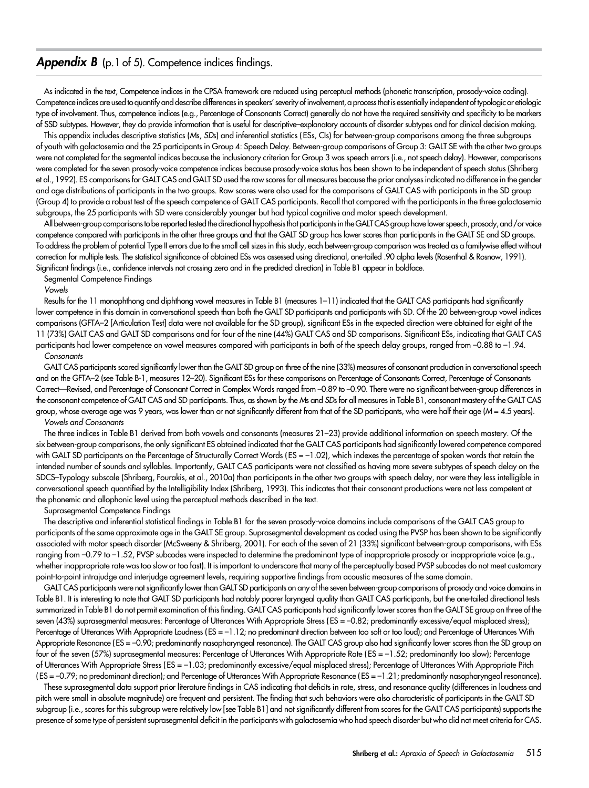#### **Appendix B** (p.1 of 5). Competence indices findings.

As indicated in the text, Competence indices in the CPSA framework are reduced using perceptual methods (phonetic transcription, prosody-voice coding). Competence indices are used to quantify and describe differences in speakers'severity of involvement, a process that is essentially independent of typologic or etiologic type of involvement. Thus, competence indices (e.g., Percentage of Consonants Correct) generally do not have the required sensitivity and specificity to be markers of SSD subtypes. However, they do provide information that is useful for descriptive–explanatory accounts of disorder subtypes and for clinical decision making.

This appendix includes descriptive statistics (Ms, SDs) and inferential statistics ( ESs, CIs) for between-group comparisons among the three subgroups of youth with galactosemia and the 25 participants in Group 4: Speech Delay. Between-group comparisons of Group 3: GALT SE with the other two groups were not completed for the segmental indices because the inclusionary criterion for Group 3 was speech errors (i.e., not speech delay). However, comparisons were completed for the seven prosody-voice competence indices because prosody-voice status has been shown to be independent of speech status (Shriberg et al., 1992). ES comparisons for GALT CAS and GALT SD used the raw scores for all measures because the prior analyses indicated no difference in the gender and age distributions of participants in the two groups. Raw scores were also used for the comparisons of GALT CAS with participants in the SD group (Group 4) to provide a robust test of the speech competence of GALT CAS participants. Recall that compared with the participants in the three galactosemia subgroups, the 25 participants with SD were considerably younger but had typical cognitive and motor speech development.

All between-group comparisons to be reported tested the directional hypothesis that participants in the GALT CAS group have lower speech, prosody, and/or voice competence compared with participants in the other three groups and that the GALT SD group has lower scores than participants in the GALT SE and SD groups. To address the problem of potential Type II errors due to the small cell sizes in this study, each between-group comparison was treated as a familywise effect without correction for multiple tests. The statistical significance of obtained ESs was assessed using directional, one-tailed .90 alpha levels (Rosenthal & Rosnow, 1991). Significant findings (i.e., confidence intervals not crossing zero and in the predicted direction) in Table B1 appear in boldface.

#### Segmental Competence Findings

#### Vowels

Results for the 11 monophthong and diphthong vowel measures in Table B1 (measures 1–11) indicated that the GALT CAS participants had significantly lower competence in this domain in conversational speech than both the GALT SD participants and participants with SD. Of the 20 between-group vowel indices comparisons (GFTA–2 [Articulation Test] data were not available for the SD group), significant ESs in the expected direction were obtained for eight of the 11 (73%) GALT CAS and GALT SD comparisons and for four of the nine (44%) GALT CAS and SD comparisons. Significant ESs, indicating that GALT CAS participants had lower competence on vowel measures compared with participants in both of the speech delay groups, ranged from -0.88 to -1.94. **Consonants** 

GALT CAS participants scored significantly lower than the GALT SD group on three of the nine (33%) measures of consonant production in conversational speech and on the GFTA–2 (see Table B-1, measures 12–20). Significant ESs for these comparisons on Percentage of Consonants Correct, Percentage of Consonants Correct—Revised, and Percentage of Consonant Correct in Complex Words ranged from –0.89 to –0.90. There were no significant between-group differences in the consonant competence of GALT CAS and SD participants. Thus, as shown by the Ms and SDs for all measures in Table B1, consonant mastery of the GALT CAS group, whose average age was 9 years, was lower than or not significantly different from that of the SD participants, who were half their age (M = 4.5 years). Vowels and Consonants

The three indices in Table B1 derived from both vowels and consonants (measures 21–23) provide additional information on speech mastery. Of the six between-group comparisons, the only significant ES obtained indicated that the GALT CAS participants had significantly lowered competence compared with GALT SD participants on the Percentage of Structurally Correct Words (ES = -1.02), which indexes the percentage of spoken words that retain the intended number of sounds and syllables. Importantly, GALT CAS participants were not classified as having more severe subtypes of speech delay on the SDCS–Typology subscale (Shriberg, Fourakis, et al., 2010a) than participants in the other two groups with speech delay, nor were they less intelligible in conversational speech quantified by the Intelligibility Index (Shriberg, 1993). This indicates that their consonant productions were not less competent at the phonemic and allophonic level using the perceptual methods described in the text.

#### Suprasegmental Competence Findings

The descriptive and inferential statistical findings in Table B1 for the seven prosody-voice domains include comparisons of the GALT CAS group to participants of the same approximate age in the GALT SE group. Suprasegmental development as coded using the PVSP has been shown to be significantly associated with motor speech disorder (McSweeny & Shriberg, 2001). For each of the seven of 21 (33%) significant between-group comparisons, with ESs ranging from -0.79 to -1.52, PVSP subcodes were inspected to determine the predominant type of inappropriate prosody or inappropriate voice (e.g., whether inappropriate rate was too slow or too fast). It is important to underscore that many of the perceptually based PVSP subcodes do not meet customary point-to-point intrajudge and interjudge agreement levels, requiring supportive findings from acoustic measures of the same domain.

GALT CAS participants were not significantly lower than GALT SD participants on any of the seven between-group comparisons of prosody and voice domains in Table B1. It is interesting to note that GALT SD participants had notably poorer laryngeal quality than GALT CAS participants, but the one-tailed directional tests summarized in Table B1 do not permit examination of this finding. GALT CAS participants had significantly lower scores than the GALT SE group on three of the seven (43%) suprasegmental measures: Percentage of Utterances With Appropriate Stress (ES = -0.82; predominantly excessive/equal misplaced stress); Percentage of Utterances With Appropriate Loudness (ES = –1.12; no predominant direction between too soft or too loud); and Percentage of Utterances With Appropriate Resonance (ES = -0.90; predominantly nasopharyngeal resonance). The GALT CAS group also had significantly lower scores than the SD group on four of the seven (57%) suprasegmental measures: Percentage of Utterances With Appropriate Rate ( ES = –1.52; predominantly too slow); Percentage of Utterances With Appropriate Stress ( ES = –1.03; predominantly excessive/equal misplaced stress); Percentage of Utterances With Appropriate Pitch ( ES = –0.79; no predominant direction); and Percentage of Utterances With Appropriate Resonance ( ES = –1.21; predominantly nasopharyngeal resonance).

These suprasegmental data support prior literature findings in CAS indicating that deficits in rate, stress, and resonance quality (differences in loudness and pitch were small in absolute magnitude) are frequent and persistent. The finding that such behaviors were also characteristic of participants in the GALT SD subgroup (i.e., scores for this subgroup were relatively low [see Table B1] and not significantly different from scores for the GALT CAS participants) supports the presence of some type of persistent suprasegmental deficit in the participants with galactosemia who had speech disorder but who did not meet criteria for CAS.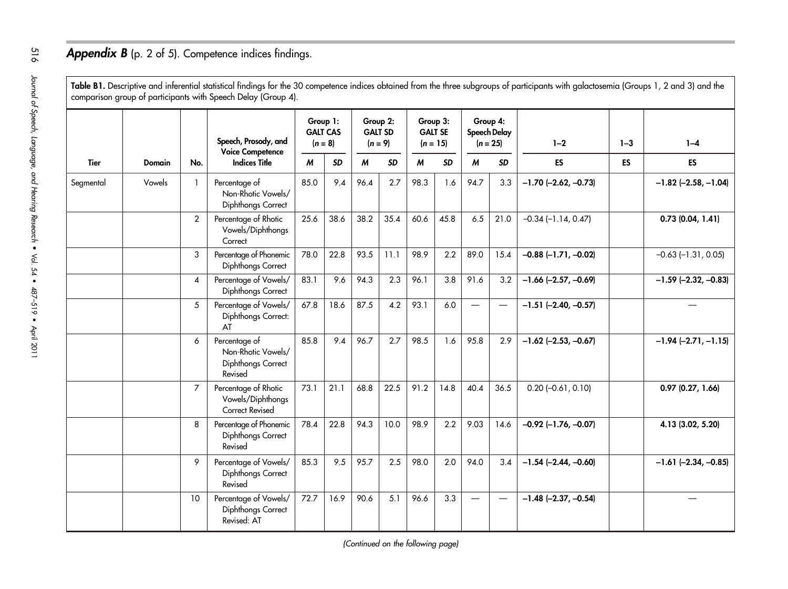# Appendix B (p. 2 of 5). Competence indices findings.

Table B1. Descriptive and inferential statistical findings for the <sup>30</sup> competence indices obtained from the three subgroups of participants with galactosemia (Groups 1, <sup>2</sup> and 3) and the comparison group of participants with Speech Delay (Group 4).

|             |               |                | Speech, Prosody, and<br><b>Voice Competence</b>                      | Group 1:<br><b>GALT CAS</b><br>$(n = 8)$ |           | Group 2:<br>$(n = 9)$ | <b>GALT SD</b> | Group 3:<br>$(n = 15)$ | <b>GALT SE</b> |                 | Group 4:<br>Speech Delay<br>$(n = 25)$ | $1 - 2$                  | $1 - 3$   | $1 - 4$                  |
|-------------|---------------|----------------|----------------------------------------------------------------------|------------------------------------------|-----------|-----------------------|----------------|------------------------|----------------|-----------------|----------------------------------------|--------------------------|-----------|--------------------------|
| <b>Tier</b> | <b>Domain</b> | No.            | <b>Indices Title</b>                                                 | M                                        | <b>SD</b> | $\boldsymbol{M}$      | <b>SD</b>      | $\boldsymbol{M}$       | <b>SD</b>      | M               | <b>SD</b>                              | <b>ES</b>                | <b>ES</b> | <b>ES</b>                |
| Segmental   | Vowels        | $\mathbf{1}$   | Percentage of<br>Non-Rhotic Vowels/<br>Diphthongs Correct            | 85.0                                     | 9.4       | 96.4                  | 2.7            | 98.3                   | 1.6            | 94.7            | 3.3                                    | $-1.70$ $(-2.62, -0.73)$ |           | $-1.82$ (-2.58, -1.04)   |
|             |               | 2              | Percentage of Rhotic<br>Vowels/Diphthongs<br>Correct                 | 25.6                                     | 38.6      | 38.2                  | 35.4           | 60.6                   | 45.8           | 6.5             | 21.0                                   | $-0.34$ $(-1.14, 0.47)$  |           | 0.73(0.04, 1.41)         |
|             |               | 3              | Percentage of Phonemic<br>Diphthongs Correct                         | 78.0                                     | 22.8      | 93.5                  | 11.1           | 98.9                   | 2.2            | 89.0            | 15.4                                   | $-0.88$ $(-1.71, -0.02)$ |           | $-0.63$ $(-1.31, 0.05)$  |
|             |               | $\overline{4}$ | Percentage of Vowels/<br>Diphthongs Correct                          | 83.1                                     | 9.6       | 94.3                  | 2.3            | 96.1                   | 3.8            | 91.6            | 3.2                                    | $-1.66$ $(-2.57, -0.69)$ |           | $-1.59$ $(-2.32, -0.83)$ |
|             |               | 5              | Percentage of Vowels/<br>Diphthongs Correct:<br>AT                   | 67.8                                     | 18.6      | 87.5                  | 4.2            | 93.1                   | 6.0            | $\qquad \qquad$ | $\equiv$                               | $-1.51$ $(-2.40, -0.57)$ |           |                          |
|             |               | 6              | Percentage of<br>Non-Rhotic Vowels/<br>Diphthongs Correct<br>Revised | 85.8                                     | 9.4       | 96.7                  | 2.7            | 98.5                   | 1.6            | 95.8            | 2.9                                    | $-1.62$ $(-2.53, -0.67)$ |           | $-1.94$ $(-2.71, -1.15)$ |
|             |               | $\overline{7}$ | Percentage of Rhotic<br>Vowels/Diphthongs<br><b>Correct Revised</b>  | 73.1                                     | 21.1      | 68.8                  | 22.5           | 91.2                   | 14.8           | 40.4            | 36.5                                   | $0.20$ (-0.61, 0.10)     |           | $0.97$ $(0.27, 1.66)$    |
|             |               | 8              | Percentage of Phonemic<br>Diphthongs Correct<br>Revised              | 78.4                                     | 22.8      | 94.3                  | 10.0           | 98.9                   | 2.2            | 9.03            | 14.6                                   | $-0.92$ (-1.76, -0.07)   |           | 4.13 (3.02, 5.20)        |
|             |               | 9              | Percentage of Vowels/<br>Diphthongs Correct<br>Revised               | 85.3                                     | 9.5       | 95.7                  | 2.5            | 98.0                   | 2.0            | 94.0            | 3.4                                    | $-1.54$ (-2.44, -0.60)   |           | $-1.61$ $(-2.34, -0.85)$ |
|             |               | 10             | Percentage of Vowels/<br>Diphthongs Correct<br>Revised: AT           | 72.7                                     | 16.9      | 90.6                  | 5.1            | 96.6                   | 3.3            | $\equiv$        | $\overline{\phantom{m}}$               | $-1.48$ $(-2.37, -0.54)$ |           |                          |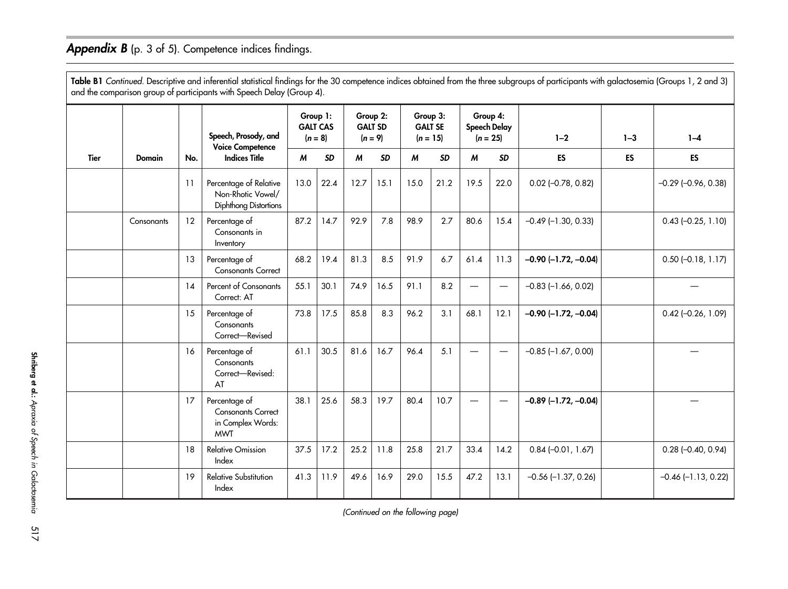### Appendix B (p. 3 of 5). Competence indices findings.

**Table B1** Continued. Descriptive and inferential statistical findings for the 30 competence indices obtained from the three subgroups of participants with galactosemia (Groups 1, 2 and 3) and the comparison group of participants with Speech Delay (Group 4). Tier Domain No.Speech, Prosody, and Voice Competence Indices TitleGroup 1: GALT CAS $(n - 9)$ Group 2: GALT SDo)  $(a - )$ Group 3: GALT SE $(n = 15)$ Group 4: Speech Delay (<sup>n</sup> <sup>=</sup> 25) 1–2 1–3 1–4 M SD M SD M SD M SDDIESIESTES <sup>11</sup> Percentage of Relative 13.0 | 22.4 | 12.7 | 15.1 | 15.0 | 21.2 | 19.5 | 22.0 | 0.02 (–0.78, 0.82) | | –0.29 (–0.96, 0.38)

|             |               |     | opocen, mosouy, unu<br><b>Voice Competence</b>                                | $(n = 0)$ |           |      | $(n = y)$ |      | $n = 13$  |                  | $n = 25$  | $I - 2$                   | <u> 1-ა</u> | $1 - 4$                 |
|-------------|---------------|-----|-------------------------------------------------------------------------------|-----------|-----------|------|-----------|------|-----------|------------------|-----------|---------------------------|-------------|-------------------------|
| <b>Tier</b> | <b>Domain</b> | No. | <b>Indices Title</b>                                                          | M         | <b>SD</b> | M    | <b>SD</b> | M    | <b>SD</b> | $\boldsymbol{M}$ | <b>SD</b> | ES                        | ES          | <b>ES</b>               |
|             |               | 11  | Percentage of Relative<br>Non-Rhotic Vowel/<br><b>Diphthong Distortions</b>   | 13.0      | 22.4      | 12.7 | 15.1      | 15.0 | 21.2      | 19.5             | 22.0      | $0.02$ (-0.78, 0.82)      |             | $-0.29$ $(-0.96, 0.38)$ |
|             | Consonants    | 12  | Percentage of<br>Consonants in<br>Inventory                                   | 87.2      | 14.7      | 92.9 | 7.8       | 98.9 | 2.7       | 80.6             | 15.4      | $-0.49$ ( $-1.30$ , 0.33) |             | $0.43$ (-0.25, 1.10)    |
|             |               | 13  | Percentage of<br><b>Consonants Correct</b>                                    | 68.2      | 19.4      | 81.3 | 8.5       | 91.9 | 6.7       | 61.4             | 11.3      | $-0.90$ $(-1.72, -0.04)$  |             | $0.50$ (-0.18, 1.17)    |
|             |               | 14  | Percent of Consonants<br>Correct: AT                                          | 55.1      | 30.1      | 74.9 | 16.5      | 91.1 | 8.2       | —                |           | $-0.83$ ( $-1.66$ , 0.02) |             |                         |
|             |               | 15  | Percentage of<br>Consonants<br>Correct-Revised                                | 73.8      | 17.5      | 85.8 | 8.3       | 96.2 | 3.1       | 68.1             | 12.1      | $-0.90$ $(-1.72, -0.04)$  |             | $0.42$ (-0.26, 1.09)    |
|             |               | 16  | Percentage of<br>Consonants<br>Correct-Revised:<br>AT                         | 61.1      | 30.5      | 81.6 | 16.7      | 96.4 | 5.1       |                  |           | $-0.85$ $(-1.67, 0.00)$   |             |                         |
|             |               | 17  | Percentage of<br><b>Consonants Correct</b><br>in Complex Words:<br><b>MWT</b> | 38.1      | 25.6      | 58.3 | 19.7      | 80.4 | 10.7      | —                |           | $-0.89$ (-1.72, -0.04)    |             |                         |
|             |               | 18  | <b>Relative Omission</b><br>Index                                             | 37.5      | 17.2      | 25.2 | 11.8      | 25.8 | 21.7      | 33.4             | 14.2      | $0.84 (-0.01, 1.67)$      |             | $0.28$ (-0.40, 0.94)    |
|             |               | 19  | <b>Relative Substitution</b><br>Index                                         | 41.3      | 11.9      | 49.6 | 16.9      | 29.0 | 15.5      | 47.2             | 13.1      | $-0.56$ ( $-1.37$ , 0.26) |             | $-0.46$ $(-1.13, 0.22)$ |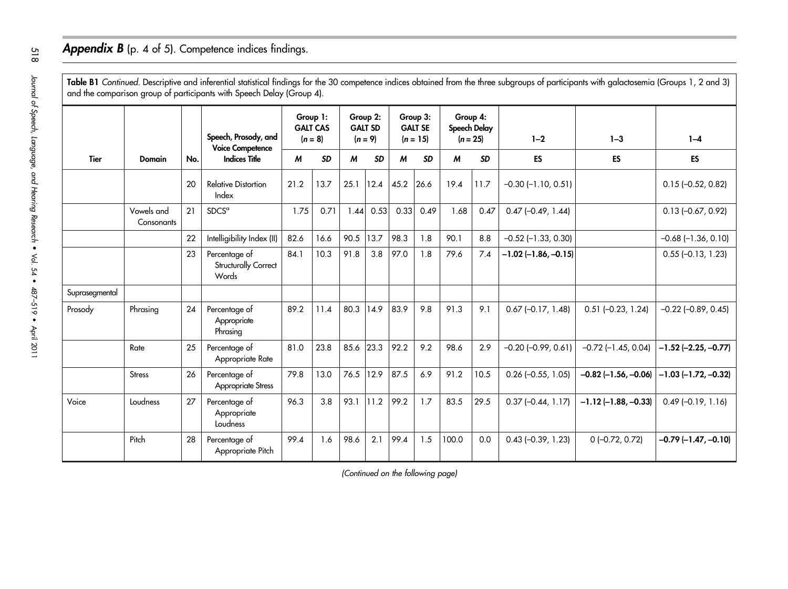### Appendix B (p. 4 of 5). Competence indices findings.

**Table B1** Continued. Descriptive and inferential statistical findings for the 30 competence indices obtained from the three subgroups of participants with galactosemia (Groups 1, 2 and 3) and the comparison group of participants with Speech Delay (Group 4).

|                |                          | No. | Speech, Prosody, and<br><b>Voice Competence</b><br><b>Indices Title</b> | Group 1:<br><b>GALT CAS</b><br>$(n = 8)$ |           | Group 2:<br><b>GALT SD</b><br>$(n = 9)$ |           | Group 3:<br><b>GALT SE</b><br>$(n = 15)$ |           | Group 4:<br>Speech Delay<br>$(n = 25)$ |           | $1 - 2$                   | $1 - 3$                 | $1 - 4$                       |
|----------------|--------------------------|-----|-------------------------------------------------------------------------|------------------------------------------|-----------|-----------------------------------------|-----------|------------------------------------------|-----------|----------------------------------------|-----------|---------------------------|-------------------------|-------------------------------|
| <b>Tier</b>    | Domain                   |     |                                                                         | M                                        | <b>SD</b> | M                                       | <b>SD</b> | M                                        | <b>SD</b> | M                                      | <b>SD</b> | <b>ES</b>                 | ES                      | ES                            |
|                |                          | 20  | <b>Relative Distortion</b><br>Index                                     | 21.2                                     | 13.7      | 25.1                                    | 12.4      | 45.2                                     | 26.6      | 19.4                                   | 11.7      | $-0.30$ $(-1.10, 0.51)$   |                         | $0.15(-0.52, 0.82)$           |
|                | Vowels and<br>Consonants | 21  | SDCS <sup>a</sup>                                                       | 1.75                                     | 0.71      | 1.44                                    | 0.53      | 0.33                                     | 0.49      | 1.68                                   | 0.47      | $0.47$ (-0.49, 1.44)      |                         | $0.13 (-0.67, 0.92)$          |
|                |                          | 22  | Intelligibility Index (II)                                              | 82.6                                     | 16.6      | 90.5                                    | 13.7      | 98.3                                     | 1.8       | 90.1                                   | 8.8       | $-0.52$ ( $-1.33$ , 0.30) |                         | $-0.68$ $(-1.36, 0.10)$       |
|                |                          | 23  | Percentage of<br>Structurally Correct<br>Words                          | 84.1                                     | 10.3      | 91.8                                    | 3.8       | 97.0                                     | 1.8       | 79.6                                   | 7.4       | $-1.02$ (-1.86, -0.15)    |                         | $0.55$ (-0.13, 1.23)          |
| Suprasegmental |                          |     |                                                                         |                                          |           |                                         |           |                                          |           |                                        |           |                           |                         |                               |
| Prosody        | Phrasing                 | 24  | Percentage of<br>Appropriate<br>Phrasing                                | 89.2                                     | 11.4      | 80.3                                    | 14.9      | 83.9                                     | 9.8       | 91.3                                   | 9.1       | $0.67$ (-0.17, 1.48)      | $0.51$ (-0.23, 1.24)    | $-0.22$ $(-0.89, 0.45)$       |
|                | Rate                     | 25  | Percentage of<br>Appropriate Rate                                       | 81.0                                     | 23.8      | 85.6                                    | 23.3      | 92.2                                     | 9.2       | 98.6                                   | 2.9       | $-0.20$ $(-0.99, 0.61)$   | $-0.72$ $(-1.45, 0.04)$ | $-1.52$ (-2.25, -0.77)        |
|                | <b>Stress</b>            | 26  | Percentage of<br><b>Appropriate Stress</b>                              | 79.8                                     | 13.0      | 76.5                                    | 12.9      | 87.5                                     | 6.9       | 91.2                                   | 10.5      | $0.26$ (-0.55, 1.05)      | $-0.82$ (-1.56, -0.06)  | $-1.03$ ( $-1.72$ , $-0.32$ ) |
| Voice          | Loudness                 | 27  | Percentage of<br>Appropriate<br>Loudness                                | 96.3                                     | 3.8       | 93.1                                    | 11.2      | 99.2                                     | 1.7       | 83.5                                   | 29.5      | $0.37$ $(-0.44, 1.17)$    | $-1.12$ (-1.88, -0.33)  | $0.49$ (-0.19, 1.16)          |
|                | Pitch                    | 28  | Percentage of<br>Appropriate Pitch                                      | 99.4                                     | 1.6       | 98.6                                    | 2.1       | 99.4                                     | 1.5       | 100.0                                  | 0.0       | $0.43$ (-0.39, 1.23)      | $0(-0.72, 0.72)$        | $-0.79$ $(-1.47, -0.10)$      |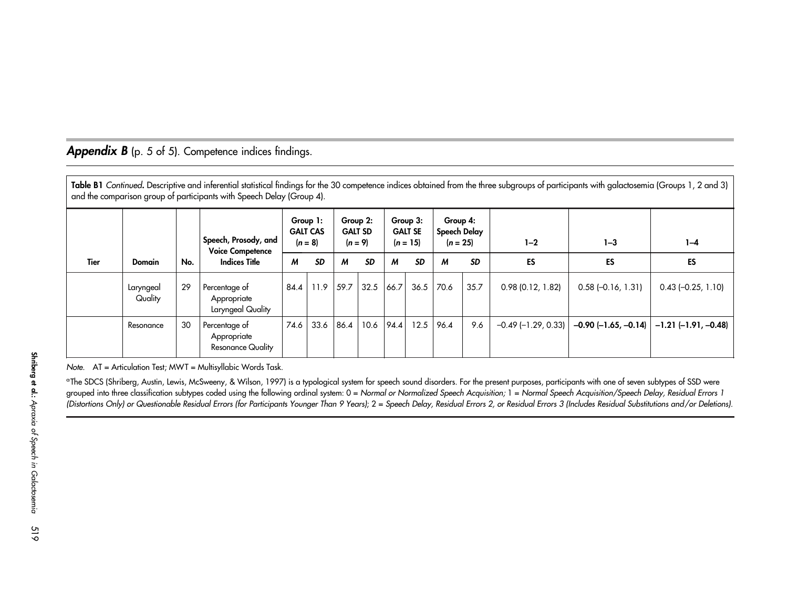### Appendix B (p. 5 of 5). Competence indices findings.

**Table B1** Continued. Descriptive and inferential statistical findings for the 30 competence indices obtained from the three subgroups of participants with galactosemia (Groups 1, 2 and 3) and the comparison group of participants with Speech Delay (Group 4). Tier Domain No.Speech, Prosody, and Voice Competence Indices TitleGroup 1: GALT CAS $(n = 8)$ Group 2: GALT SD $(n = 9)$ Group 3: GALT SE $(n = 15)$ Group 4: Speech Delay  $(n = 25)$  1–2 1–3 1–3 1–4 M SD M SD M SD M SD ES ES ES Laryngeal **Quality** 29 Percentage of Appropriate Laryngeal Quality  $84.4$  | 11.9 | 59.7 | 32.5 | 66.7 | 36.5 | 70.6 | 35.7 | 0.98 (0.12, 1.82) | 0.58 (-0.16, 1.31) | 0.43 (-0.25, 1.10) Resonance 30 Percentage of Appropriate Resonance Quality 74.6 33.6 86.4 10.6 94.4 12.5 96.4 9.6  $-0.49$  (-1.29, 0.33)  $\vert$   $-0.90$  (-1.65, -0.14)  $\vert$  -1.21 (-1.91, -0.48)

Note. AT <sup>=</sup> Articulation Test; MWT <sup>=</sup> Multisyllabic Words Task.

aThe SDCS (Shriberg, Austin, Lewis, McSweeny, & Wilson, 1997) is <sup>a</sup> typological system for speech sound disorders. For the presen<sup>t</sup> purposes, participants with one of seven subtypes of SSD were grouped into three classification subtypes coded using the following ordinal system: 0 = Normal or Normalized Speech Acquisition; 1 = Normal Speech Acquisition/Speech Delay, Residual Errors 1 (Distortions Only) or Questionable Residual Errors (for Participants Younger Than <sup>9</sup> Years);2= Speech Delay, Residual Errors 2, or Residual Errors <sup>3</sup> (Includes Residual Substitutions and/or Deletions).